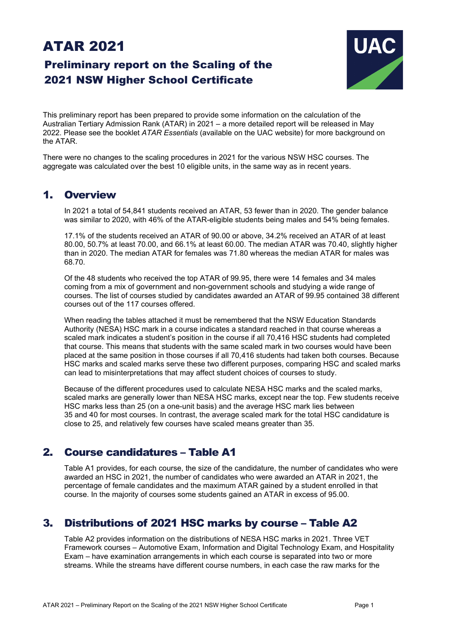# ATAR 2021

# Preliminary report on the Scaling of the 2021 NSW Higher School Certificate



This preliminary report has been prepared to provide some information on the calculation of the Australian Tertiary Admission Rank (ATAR) in 2021 – a more detailed report will be released in May 2022. Please see the booklet *ATAR Essentials* (available on the UAC website) for more background on the ATAR.

There were no changes to the scaling procedures in 2021 for the various NSW HSC courses. The aggregate was calculated over the best 10 eligible units, in the same way as in recent years.

## 1. Overview

In 2021 a total of 54,841 students received an ATAR, 53 fewer than in 2020. The gender balance was similar to 2020, with 46% of the ATAR-eligible students being males and 54% being females.

17.1% of the students received an ATAR of 90.00 or above, 34.2% received an ATAR of at least 80.00, 50.7% at least 70.00, and 66.1% at least 60.00. The median ATAR was 70.40, slightly higher than in 2020. The median ATAR for females was 71.80 whereas the median ATAR for males was 68.70.

Of the 48 students who received the top ATAR of 99.95, there were 14 females and 34 males coming from a mix of government and non-government schools and studying a wide range of courses. The list of courses studied by candidates awarded an ATAR of 99.95 contained 38 different courses out of the 117 courses offered.

When reading the tables attached it must be remembered that the NSW Education Standards Authority (NESA) HSC mark in a course indicates a standard reached in that course whereas a scaled mark indicates a student's position in the course if all 70,416 HSC students had completed that course. This means that students with the same scaled mark in two courses would have been placed at the same position in those courses if all 70,416 students had taken both courses. Because HSC marks and scaled marks serve these two different purposes, comparing HSC and scaled marks can lead to misinterpretations that may affect student choices of courses to study.

Because of the different procedures used to calculate NESA HSC marks and the scaled marks, scaled marks are generally lower than NESA HSC marks, except near the top. Few students receive HSC marks less than 25 (on a one-unit basis) and the average HSC mark lies between 35 and 40 for most courses. In contrast, the average scaled mark for the total HSC candidature is close to 25, and relatively few courses have scaled means greater than 35.

# 2. Course candidatures – Table A1

Table A1 provides, for each course, the size of the candidature, the number of candidates who were awarded an HSC in 2021, the number of candidates who were awarded an ATAR in 2021, the percentage of female candidates and the maximum ATAR gained by a student enrolled in that course. In the majority of courses some students gained an ATAR in excess of 95.00.

# 3. Distributions of 2021 HSC marks by course – Table A2

Table A2 provides information on the distributions of NESA HSC marks in 2021. Three VET Framework courses – Automotive Exam, Information and Digital Technology Exam, and Hospitality Exam – have examination arrangements in which each course is separated into two or more streams. While the streams have different course numbers, in each case the raw marks for the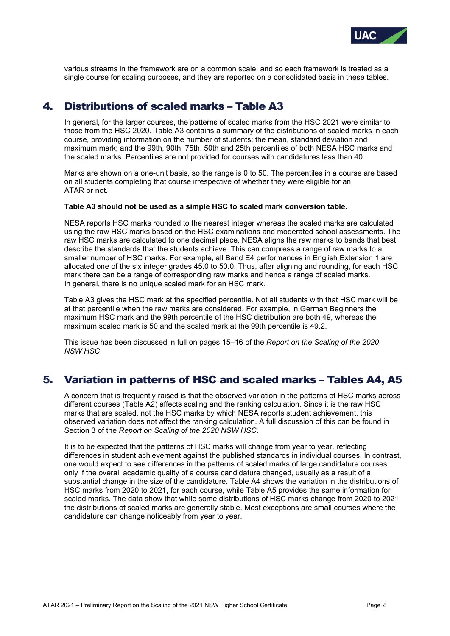

various streams in the framework are on a common scale, and so each framework is treated as a single course for scaling purposes, and they are reported on a consolidated basis in these tables.

# 4. Distributions of scaled marks – Table A3

In general, for the larger courses, the patterns of scaled marks from the HSC 2021 were similar to those from the HSC 2020. Table A3 contains a summary of the distributions of scaled marks in each course, providing information on the number of students; the mean, standard deviation and maximum mark; and the 99th, 90th, 75th, 50th and 25th percentiles of both NESA HSC marks and the scaled marks. Percentiles are not provided for courses with candidatures less than 40.

Marks are shown on a one-unit basis, so the range is 0 to 50. The percentiles in a course are based on all students completing that course irrespective of whether they were eligible for an ATAR or not.

#### **Table A3 should not be used as a simple HSC to scaled mark conversion table.**

NESA reports HSC marks rounded to the nearest integer whereas the scaled marks are calculated using the raw HSC marks based on the HSC examinations and moderated school assessments. The raw HSC marks are calculated to one decimal place. NESA aligns the raw marks to bands that best describe the standards that the students achieve. This can compress a range of raw marks to a smaller number of HSC marks. For example, all Band E4 performances in English Extension 1 are allocated one of the six integer grades 45.0 to 50.0. Thus, after aligning and rounding, for each HSC mark there can be a range of corresponding raw marks and hence a range of scaled marks. In general, there is no unique scaled mark for an HSC mark.

Table A3 gives the HSC mark at the specified percentile. Not all students with that HSC mark will be at that percentile when the raw marks are considered. For example, in German Beginners the maximum HSC mark and the 99th percentile of the HSC distribution are both 49, whereas the maximum scaled mark is 50 and the scaled mark at the 99th percentile is 49.2.

This issue has been discussed in full on pages 15–16 of the *Report on the Scaling of the 2020 NSW HSC*.

## 5. Variation in patterns of HSC and scaled marks – Tables A4, A5

A concern that is frequently raised is that the observed variation in the patterns of HSC marks across different courses (Table A2) affects scaling and the ranking calculation. Since it is the raw HSC marks that are scaled, not the HSC marks by which NESA reports student achievement, this observed variation does not affect the ranking calculation. A full discussion of this can be found in Section 3 of the *Report on Scaling of the 2020 NSW HSC*.

It is to be expected that the patterns of HSC marks will change from year to year, reflecting differences in student achievement against the published standards in individual courses. In contrast, one would expect to see differences in the patterns of scaled marks of large candidature courses only if the overall academic quality of a course candidature changed, usually as a result of a substantial change in the size of the candidature. Table A4 shows the variation in the distributions of HSC marks from 2020 to 2021, for each course, while Table A5 provides the same information for scaled marks. The data show that while some distributions of HSC marks change from 2020 to 2021 the distributions of scaled marks are generally stable. Most exceptions are small courses where the candidature can change noticeably from year to year.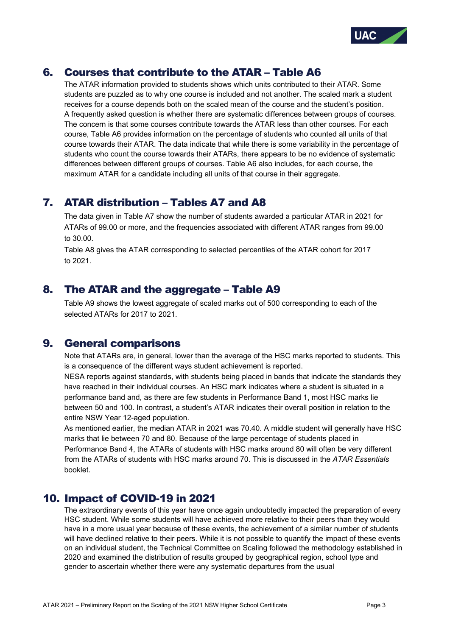

# 6. Courses that contribute to the ATAR – Table A6

The ATAR information provided to students shows which units contributed to their ATAR. Some students are puzzled as to why one course is included and not another. The scaled mark a student receives for a course depends both on the scaled mean of the course and the student's position. A frequently asked question is whether there are systematic differences between groups of courses. The concern is that some courses contribute towards the ATAR less than other courses. For each course, Table A6 provides information on the percentage of students who counted all units of that course towards their ATAR. The data indicate that while there is some variability in the percentage of students who count the course towards their ATARs, there appears to be no evidence of systematic differences between different groups of courses. Table A6 also includes, for each course, the maximum ATAR for a candidate including all units of that course in their aggregate.

# 7. ATAR distribution – Tables A7 and A8

The data given in Table A7 show the number of students awarded a particular ATAR in 2021 for ATARs of 99.00 or more, and the frequencies associated with different ATAR ranges from 99.00 to 30.00.

Table A8 gives the ATAR corresponding to selected percentiles of the ATAR cohort for 2017 to 2021.

## 8. The ATAR and the aggregate – Table A9

Table A9 shows the lowest aggregate of scaled marks out of 500 corresponding to each of the selected ATARs for 2017 to 2021.

## 9. General comparisons

Note that ATARs are, in general, lower than the average of the HSC marks reported to students. This is a consequence of the different ways student achievement is reported.

NESA reports against standards, with students being placed in bands that indicate the standards they have reached in their individual courses. An HSC mark indicates where a student is situated in a performance band and, as there are few students in Performance Band 1, most HSC marks lie between 50 and 100. In contrast, a student's ATAR indicates their overall position in relation to the entire NSW Year 12-aged population.

As mentioned earlier, the median ATAR in 2021 was 70.40. A middle student will generally have HSC marks that lie between 70 and 80. Because of the large percentage of students placed in Performance Band 4, the ATARs of students with HSC marks around 80 will often be very different from the ATARs of students with HSC marks around 70. This is discussed in the *ATAR Essentials* booklet.

# 10. Impact of COVID-19 in 2021

The extraordinary events of this year have once again undoubtedly impacted the preparation of every HSC student. While some students will have achieved more relative to their peers than they would have in a more usual year because of these events, the achievement of a similar number of students will have declined relative to their peers. While it is not possible to quantify the impact of these events on an individual student, the Technical Committee on Scaling followed the methodology established in 2020 and examined the distribution of results grouped by geographical region, school type and gender to ascertain whether there were any systematic departures from the usual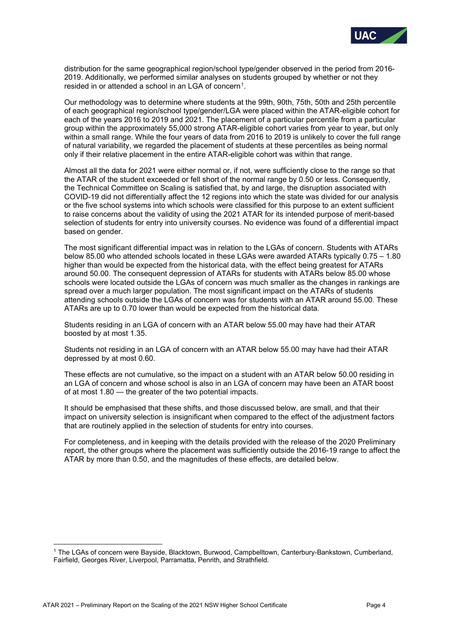

distribution for the same geographical region/school type/gender observed in the period from 2016- 2019. Additionally, we performed similar analyses on students grouped by whether or not they resided in or attended a school in an LGA of concern<sup>1</sup>.

Our methodology was to determine where students at the 99th, 90th, 75th, 50th and 25th percentile of each geographical region/school type/gender/LGA were placed within the ATAR-eligible cohort for each of the years 2016 to 2019 and 2021. The placement of a particular percentile from a particular group within the approximately 55,000 strong ATAR-eligible cohort varies from year to year, but only within a small range. While the four years of data from 2016 to 2019 is unlikely to cover the full range of natural variability, we regarded the placement of students at these percentiles as being normal only if their relative placement in the entire ATAR-eligible cohort was within that range.

Almost all the data for 2021 were either normal or, if not, were sufficiently close to the range so that the ATAR of the student exceeded or fell short of the normal range by 0.50 or less. Consequently, the Technical Committee on Scaling is satisfied that, by and large, the disruption associated with COVID-19 did not differentially affect the 12 regions into which the state was divided for our analysis or the five school systems into which schools were classified for this purpose to an extent sufficient to raise concerns about the validity of using the 2021 ATAR for its intended purpose of merit-based selection of students for entry into university courses. No evidence was found of a differential impact based on gender.

The most significant differential impact was in relation to the LGAs of concern. Students with ATARs below 85.00 who attended schools located in these LGAs were awarded ATARs typically 0.75 – 1.80 higher than would be expected from the historical data, with the effect being greatest for ATARs around 50.00. The consequent depression of ATARs for students with ATARs below 85.00 whose schools were located outside the LGAs of concern was much smaller as the changes in rankings are spread over a much larger population. The most significant impact on the ATARs of students attending schools outside the LGAs of concern was for students with an ATAR around 55.00. These ATARs are up to 0.70 lower than would be expected from the historical data.

Students residing in an LGA of concern with an ATAR below 55.00 may have had their ATAR boosted by at most 1.35.

Students not residing in an LGA of concern with an ATAR below 55.00 may have had their ATAR depressed by at most 0.60.

These effects are not cumulative, so the impact on a student with an ATAR below 50.00 residing in an LGA of concern and whose school is also in an LGA of concern may have been an ATAR boost of at most 1.80 — the greater of the two potential impacts.

It should be emphasised that these shifts, and those discussed below, are small, and that their impact on university selection is insignificant when compared to the effect of the adjustment factors that are routinely applied in the selection of students for entry into courses.

For completeness, and in keeping with the details provided with the release of the 2020 Preliminary report, the other groups where the placement was sufficiently outside the 2016-19 range to affect the ATAR by more than 0.50, and the magnitudes of these effects, are detailed below.

<span id="page-3-0"></span><sup>1</sup> The LGAs of concern were Bayside, Blacktown, Burwood, Campbelltown, Canterbury-Bankstown, Cumberland, Fairfield, Georges River, Liverpool, Parramatta, Penrith, and Strathfield.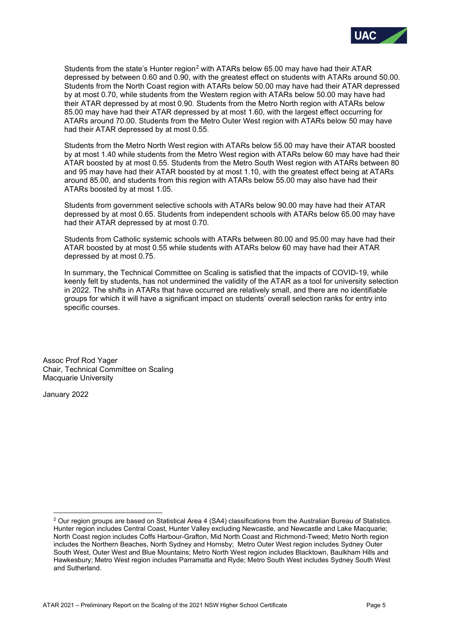

Students from the state's Hunter region<sup>[2](#page-4-0)</sup> with ATARs below 65.00 may have had their ATAR depressed by between 0.60 and 0.90, with the greatest effect on students with ATARs around 50.00. Students from the North Coast region with ATARs below 50.00 may have had their ATAR depressed by at most 0.70, while students from the Western region with ATARs below 50.00 may have had their ATAR depressed by at most 0.90. Students from the Metro North region with ATARs below 85.00 may have had their ATAR depressed by at most 1.60, with the largest effect occurring for ATARs around 70.00. Students from the Metro Outer West region with ATARs below 50 may have had their ATAR depressed by at most 0.55.

Students from the Metro North West region with ATARs below 55.00 may have their ATAR boosted by at most 1.40 while students from the Metro West region with ATARs below 60 may have had their ATAR boosted by at most 0.55. Students from the Metro South West region with ATARs between 80 and 95 may have had their ATAR boosted by at most 1.10, with the greatest effect being at ATARs around 85.00, and students from this region with ATARs below 55.00 may also have had their ATARs boosted by at most 1.05.

Students from government selective schools with ATARs below 90.00 may have had their ATAR depressed by at most 0.65. Students from independent schools with ATARs below 65.00 may have had their ATAR depressed by at most 0.70.

Students from Catholic systemic schools with ATARs between 80.00 and 95.00 may have had their ATAR boosted by at most 0.55 while students with ATARs below 60 may have had their ATAR depressed by at most 0.75.

In summary, the Technical Committee on Scaling is satisfied that the impacts of COVID-19, while keenly felt by students, has not undermined the validity of the ATAR as a tool for university selection in 2022. The shifts in ATARs that have occurred are relatively small, and there are no identifiable groups for which it will have a significant impact on students' overall selection ranks for entry into specific courses.

Assoc Prof Rod Yager Chair, Technical Committee on Scaling Macquarie University

January 2022

<span id="page-4-0"></span><sup>&</sup>lt;sup>2</sup> Our region groups are based on Statistical Area 4 (SA4) classifications from the Australian Bureau of Statistics. Hunter region includes Central Coast, Hunter Valley excluding Newcastle, and Newcastle and Lake Macquarie; North Coast region includes Coffs Harbour-Grafton, Mid North Coast and Richmond-Tweed; Metro North region includes the Northern Beaches, North Sydney and Hornsby; Metro Outer West region includes Sydney Outer South West, Outer West and Blue Mountains; Metro North West region includes Blacktown, Baulkham Hills and Hawkesbury; Metro West region includes Parramatta and Ryde; Metro South West includes Sydney South West and Sutherland.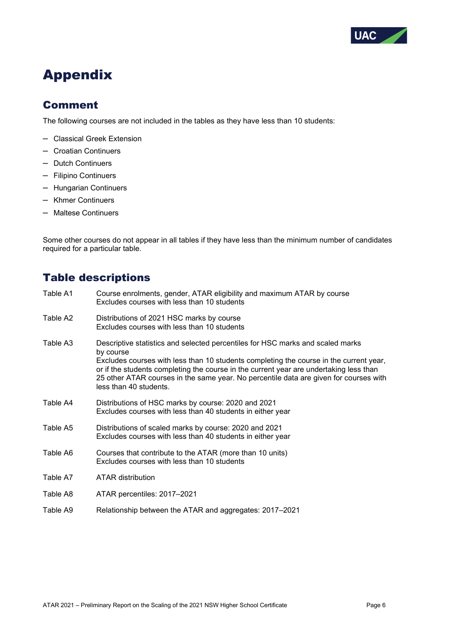

# Appendix

# Comment

The following courses are not included in the tables as they have less than 10 students:

- Classical Greek Extension
- Croatian Continuers
- Dutch Continuers
- Filipino Continuers
- Hungarian Continuers
- Khmer Continuers
- Maltese Continuers

Some other courses do not appear in all tables if they have less than the minimum number of candidates required for a particular table.

# Table descriptions

- Table A1 Course enrolments, gender, ATAR eligibility and maximum ATAR by course Excludes courses with less than 10 students
- Table A2 Distributions of 2021 HSC marks by course Excludes courses with less than 10 students
- Table A3 Descriptive statistics and selected percentiles for HSC marks and scaled marks by course Excludes courses with less than 10 students completing the course in the current year, or if the students completing the course in the current year are undertaking less than 25 other ATAR courses in the same year. No percentile data are given for courses with less than 40 students.
- Table A4 Distributions of HSC marks by course: 2020 and 2021 Excludes courses with less than 40 students in either year
- Table A5 Distributions of scaled marks by course: 2020 and 2021 Excludes courses with less than 40 students in either year
- Table A6 Courses that contribute to the ATAR (more than 10 units) Excludes courses with less than 10 students
- Table A7 ATAR distribution
- Table A8 ATAR percentiles: 2017–2021
- Table A9 Relationship between the ATAR and aggregates: 2017–2021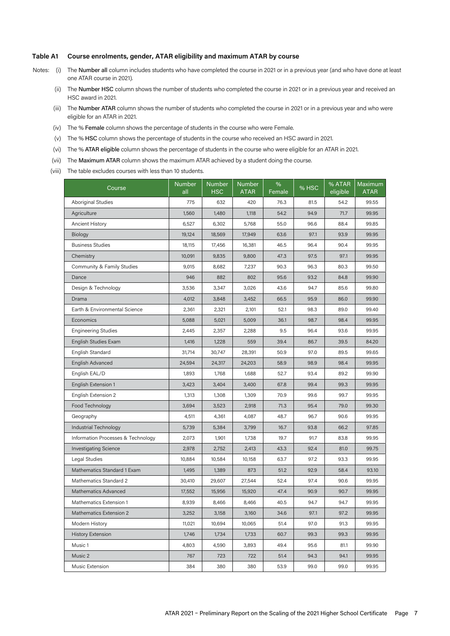#### **Table A1 Course enrolments, gender, ATAR eligibility and maximum ATAR by course**

- Notes: (i) The Number all column includes students who have completed the course in 2021 or in a previous year (and who have done at least one ATAR course in 2021).
	- (ii) The **Number HSC** column shows the number of students who completed the course in 2021 or in a previous year and received an HSC award in 2021.
	- (iii) The Number ATAR column shows the number of students who completed the course in 2021 or in a previous year and who were eligible for an ATAR in 2021.
	- (iv) The % Female column shows the percentage of students in the course who were Female.
	- (v) The % HSC column shows the percentage of students in the course who received an HSC award in 2021.
	- (vi) The % ATAR eligible column shows the percentage of students in the course who were eligible for an ATAR in 2021.
	- (vii) The Maximum ATAR column shows the maximum ATAR achieved by a student doing the course.
	- (viii) The table excludes courses with less than 10 students.

| Course                             | <b>Number</b><br>all | <b>Number</b><br><b>HSC</b> | <b>Number</b><br>ATAR | $\%$<br>Female | % HSC | % ATAR<br>eligible | Maximum<br><b>ATAR</b> |
|------------------------------------|----------------------|-----------------------------|-----------------------|----------------|-------|--------------------|------------------------|
| <b>Aboriginal Studies</b>          | 775                  | 632                         | 420                   | 76.3           | 81.5  | 54.2               | 99.55                  |
| Agriculture                        | 1,560                | 1,480                       | 1,118                 | 54.2           | 94.9  | 71.7               | 99.95                  |
| <b>Ancient History</b>             | 6,527                | 6,302                       | 5,768                 | 55.0           | 96.6  | 88.4               | 99.85                  |
| Biology                            | 19,124               | 18,569                      | 17,949                | 63.6           | 97.1  | 93.9               | 99.95                  |
| <b>Business Studies</b>            | 18,115               | 17,456                      | 16,381                | 46.5           | 96.4  | 90.4               | 99.95                  |
| Chemistry                          | 10,091               | 9,835                       | 9,800                 | 47.3           | 97.5  | 97.1               | 99.95                  |
| Community & Family Studies         | 9,015                | 8,682                       | 7,237                 | 90.3           | 96.3  | 80.3               | 99.50                  |
| Dance                              | 946                  | 882                         | 802                   | 95.6           | 93.2  | 84.8               | 99.90                  |
| Design & Technology                | 3,536                | 3,347                       | 3,026                 | 43.6           | 94.7  | 85.6               | 99.80                  |
| Drama                              | 4,012                | 3,848                       | 3,452                 | 66.5           | 95.9  | 86.0               | 99.90                  |
| Earth & Environmental Science      | 2,361                | 2,321                       | 2,101                 | 52.1           | 98.3  | 89.0               | 99.40                  |
| Economics                          | 5,088                | 5,021                       | 5,009                 | 36.1           | 98.7  | 98.4               | 99.95                  |
| <b>Engineering Studies</b>         | 2,445                | 2,357                       | 2,288                 | 9.5            | 96.4  | 93.6               | 99.95                  |
| English Studies Exam               | 1,416                | 1,228                       | 559                   | 39.4           | 86.7  | 39.5               | 84.20                  |
| English Standard                   | 31,714               | 30,747                      | 28,391                | 50.9           | 97.0  | 89.5               | 99.65                  |
| English Advanced                   | 24,594               | 24,317                      | 24,203                | 58.9           | 98.9  | 98.4               | 99.95                  |
| English EAL/D                      | 1,893                | 1,768                       | 1,688                 | 52.7           | 93.4  | 89.2               | 99.90                  |
| English Extension 1                | 3,423                | 3,404                       | 3,400                 | 67.8           | 99.4  | 99.3               | 99.95                  |
| English Extension 2                | 1,313                | 1,308                       | 1,309                 | 70.9           | 99.6  | 99.7               | 99.95                  |
| Food Technology                    | 3,694                | 3,523                       | 2,918                 | 71.3           | 95.4  | 79.0               | 99.30                  |
| Geography                          | 4,511                | 4,361                       | 4,087                 | 48.7           | 96.7  | 90.6               | 99.95                  |
| Industrial Technology              | 5,739                | 5,384                       | 3,799                 | 16.7           | 93.8  | 66.2               | 97.85                  |
| Information Processes & Technology | 2,073                | 1,901                       | 1,738                 | 19.7           | 91.7  | 83.8               | 99.95                  |
| <b>Investigating Science</b>       | 2,978                | 2,752                       | 2,413                 | 43.3           | 92.4  | 81.0               | 99.75                  |
| Legal Studies                      | 10,884               | 10,584                      | 10,158                | 63.7           | 97.2  | 93.3               | 99.95                  |
| Mathematics Standard 1 Exam        | 1,495                | 1,389                       | 873                   | 51.2           | 92.9  | 58.4               | 93.10                  |
| Mathematics Standard 2             | 30,410               | 29,607                      | 27,544                | 52.4           | 97.4  | 90.6               | 99.95                  |
| Mathematics Advanced               | 17,552               | 15,956                      | 15,920                | 47.4           | 90.9  | 90.7               | 99.95                  |
| Mathematics Extension 1            | 8,939                | 8,466                       | 8,466                 | 40.5           | 94.7  | 94.7               | 99.95                  |
| Mathematics Extension 2            | 3,252                | 3,158                       | 3,160                 | 34.6           | 97.1  | 97.2               | 99.95                  |
| Modern History                     | 11,021               | 10,694                      | 10,065                | 51.4           | 97.0  | 91.3               | 99.95                  |
| <b>History Extension</b>           | 1,746                | 1,734                       | 1,733                 | 60.7           | 99.3  | 99.3               | 99.95                  |
| Music 1                            | 4,803                | 4,590                       | 3,893                 | 49.4           | 95.6  | 81.1               | 99.90                  |
| Music 2                            | 767                  | 723                         | 722                   | 51.4           | 94.3  | 94.1               | 99.95                  |
| Music Extension                    | 384                  | 380                         | 380                   | 53.9           | 99.0  | 99.0               | 99.95                  |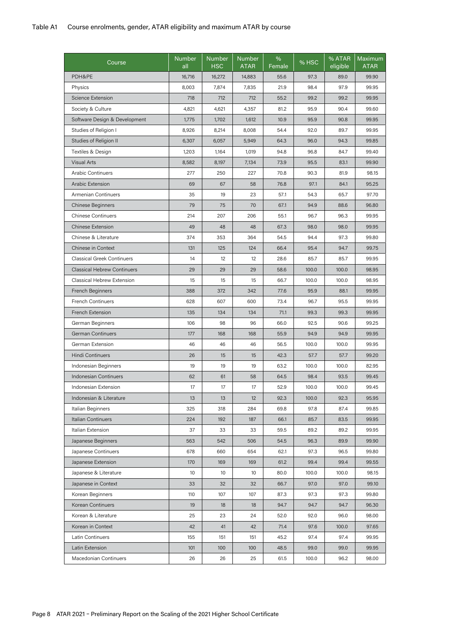| Course                             | <b>Number</b><br>all | <b>Number</b><br><b>HSC</b> | Number<br><b>ATAR</b> | $\%$<br>Female | % HSC | % ATAR<br>eligible | <b>Maximum</b><br><b>ATAR</b> |
|------------------------------------|----------------------|-----------------------------|-----------------------|----------------|-------|--------------------|-------------------------------|
| PDH&PE                             | 16,716               | 16,272                      | 14,883                | 55.6           | 97.3  | 89.0               | 99.90                         |
| Physics                            | 8,003                | 7,874                       | 7,835                 | 21.9           | 98.4  | 97.9               | 99.95                         |
| <b>Science Extension</b>           | 718                  | 712                         | 712                   | 55.2           | 99.2  | 99.2               | 99.95                         |
| Society & Culture                  | 4,821                | 4,621                       | 4,357                 | 81.2           | 95.9  | 90.4               | 99.60                         |
| Software Design & Development      | 1,775                | 1,702                       | 1,612                 | 10.9           | 95.9  | 90.8               | 99.95                         |
| Studies of Religion I              | 8,926                | 8,214                       | 8,008                 | 54.4           | 92.0  | 89.7               | 99.95                         |
| Studies of Religion II             | 6,307                | 6,057                       | 5,949                 | 64.3           | 96.0  | 94.3               | 99.85                         |
| Textiles & Design                  | 1,203                | 1,164                       | 1,019                 | 94.8           | 96.8  | 84.7               | 99.40                         |
| <b>Visual Arts</b>                 | 8,582                | 8,197                       | 7,134                 | 73.9           | 95.5  | 83.1               | 99.90                         |
| <b>Arabic Continuers</b>           | 277                  | 250                         | 227                   | 70.8           | 90.3  | 81.9               | 98.15                         |
| Arabic Extension                   | 69                   | 67                          | 58                    | 76.8           | 97.1  | 84.1               | 95.25                         |
| Armenian Continuers                | 35                   | 19                          | 23                    | 57.1           | 54.3  | 65.7               | 97.70                         |
| <b>Chinese Beginners</b>           | 79                   | 75                          | 70                    | 67.1           | 94.9  | 88.6               | 96.80                         |
| <b>Chinese Continuers</b>          | 214                  | 207                         | 206                   | 55.1           | 96.7  | 96.3               | 99.95                         |
| <b>Chinese Extension</b>           | 49                   | 48                          | 48                    | 67.3           | 98.0  | 98.0               | 99.95                         |
| Chinese & Literature               | 374                  | 353                         | 364                   | 54.5           | 94.4  | 97.3               | 99.80                         |
| Chinese in Context                 | 131                  | 125                         | 124                   | 66.4           | 95.4  | 94.7               | 99.75                         |
| <b>Classical Greek Continuers</b>  | 14                   | 12                          | 12                    | 28.6           | 85.7  | 85.7               | 99.95                         |
| <b>Classical Hebrew Continuers</b> | 29                   | 29                          | 29                    | 58.6           | 100.0 | 100.0              | 98.95                         |
| Classical Hebrew Extension         | 15                   | 15                          | 15                    | 66.7           | 100.0 | 100.0              | 98.95                         |
| French Beginners                   | 388                  | 372                         | 342                   | 77.6           | 95.9  | 88.1               | 99.95                         |
| <b>French Continuers</b>           | 628                  | 607                         | 600                   | 73.4           | 96.7  | 95.5               | 99.95                         |
| French Extension                   | 135                  | 134                         | 134                   | 71.1           | 99.3  | 99.3               | 99.95                         |
| German Beginners                   | 106                  | 98                          | 96                    | 66.0           | 92.5  | 90.6               | 99.25                         |
| German Continuers                  | 177                  | 168                         | 168                   | 55.9           | 94.9  | 94.9               | 99.95                         |
| German Extension                   | 46                   | 46                          | 46                    | 56.5           | 100.0 | 100.0              | 99.95                         |
| <b>Hindi Continuers</b>            | 26                   | 15                          | 15                    | 42.3           | 57.7  | 57.7               | 99.20                         |
| Indonesian Beginners               | 19                   | 19                          | 19                    | 63.2           | 100.0 | 100.0              | 82.95                         |
| <b>Indonesian Continuers</b>       | 62                   | 61                          | 58                    | 64.5           | 98.4  | 93.5               | 99.45                         |
| Indonesian Extension               | 17                   | 17                          | 17                    | 52.9           | 100.0 | 100.0              | 99.45                         |
| Indonesian & Literature            | 13                   | 13                          | 12                    | 92.3           | 100.0 | 92.3               | 95.95                         |
| Italian Beginners                  | 325                  | 318                         | 284                   | 69.8           | 97.8  | 87.4               | 99.85                         |
| Italian Continuers                 | 224                  | 192                         | 187                   | 66.1           | 85.7  | 83.5               | 99.95                         |
| Italian Extension                  | 37                   | 33                          | 33                    | 59.5           | 89.2  | 89.2               | 99.95                         |
| Japanese Beginners                 | 563                  | 542                         | 506                   | 54.5           | 96.3  | 89.9               | 99.90                         |
| Japanese Continuers                | 678                  | 660                         | 654                   | 62.1           | 97.3  | 96.5               | 99.80                         |
| Japanese Extension                 | 170                  | 169                         | 169                   | 61.2           | 99.4  | 99.4               | 99.55                         |
| Japanese & Literature              | 10                   | 10                          | 10                    | 80.0           | 100.0 | 100.0              | 98.15                         |
| Japanese in Context                | 33                   | 32                          | 32                    | 66.7           | 97.0  | 97.0               | 99.10                         |
| Korean Beginners                   | 110                  | 107                         | 107                   | 87.3           | 97.3  | 97.3               | 99.80                         |
| Korean Continuers                  | 19                   | 18                          | 18                    | 94.7           | 94.7  | 94.7               | 96.30                         |
| Korean & Literature                | 25                   | 23                          | 24                    | 52.0           | 92.0  | 96.0               | 98.00                         |
| Korean in Context                  | 42                   | 41                          | 42                    | 71.4           | 97.6  | 100.0              | 97.65                         |
| Latin Continuers                   | 155                  | 151                         | 151                   | 45.2           | 97.4  | 97.4               | 99.95                         |
| Latin Extension                    | 101                  | 100                         | 100                   | 48.5           | 99.0  | 99.0               | 99.95                         |
| Macedonian Continuers              | 26                   | 26                          | 25                    | 61.5           | 100.0 | 96.2               | 98.00                         |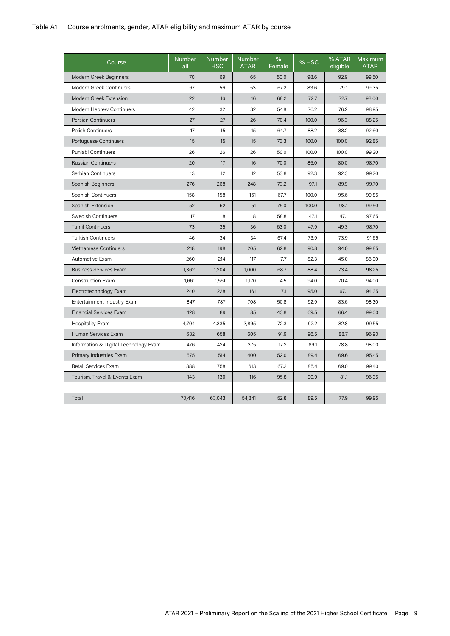#### Table A1 Course enrolments, gender, ATAR eligibility and maximum ATAR by course

| Course                                | <b>Number</b><br>all | <b>Number</b><br><b>HSC</b> | <b>Number</b><br><b>ATAR</b> | %<br>Female | % HSC | % ATAR<br>eligible | Maximum<br><b>ATAR</b> |
|---------------------------------------|----------------------|-----------------------------|------------------------------|-------------|-------|--------------------|------------------------|
| Modern Greek Beginners                | 70                   | 69                          | 65                           | 50.0        | 98.6  | 92.9               | 99.50                  |
| Modern Greek Continuers               | 67                   | 56                          | 53                           | 67.2        | 83.6  | 79.1               | 99.35                  |
| Modern Greek Extension                | 22                   | 16                          | 16                           | 68.2        | 72.7  | 72.7               | 98.00                  |
| Modern Hebrew Continuers              | 42                   | 32                          | 32                           | 54.8        | 76.2  | 76.2               | 98.95                  |
| <b>Persian Continuers</b>             | 27                   | 27                          | 26                           | 70.4        | 100.0 | 96.3               | 88.25                  |
| <b>Polish Continuers</b>              | 17                   | 15                          | 15                           | 64.7        | 88.2  | 88.2               | 92.60                  |
| Portuguese Continuers                 | 15                   | 15                          | 15                           | 73.3        | 100.0 | 100.0              | 92.85                  |
| Punjabi Continuers                    | 26                   | 26                          | 26                           | 50.0        | 100.0 | 100.0              | 99.20                  |
| <b>Russian Continuers</b>             | 20                   | 17                          | 16                           | 70.0        | 85.0  | 80.0               | 98.70                  |
| Serbian Continuers                    | 13                   | 12                          | 12                           | 53.8        | 92.3  | 92.3               | 99.20                  |
| Spanish Beginners                     | 276                  | 268                         | 248                          | 73.2        | 97.1  | 89.9               | 99.70                  |
| Spanish Continuers                    | 158                  | 158                         | 151                          | 67.7        | 100.0 | 95.6               | 99.85                  |
| Spanish Extension                     | 52                   | 52                          | 51                           | 75.0        | 100.0 | 98.1               | 99.50                  |
| Swedish Continuers                    | 17                   | 8                           | 8                            | 58.8        | 47.1  | 47.1               | 97.65                  |
| <b>Tamil Continuers</b>               | 73                   | 35                          | 36                           | 63.0        | 47.9  | 49.3               | 98.70                  |
| <b>Turkish Continuers</b>             | 46                   | 34                          | 34                           | 67.4        | 73.9  | 73.9               | 91.65                  |
| <b>Vietnamese Continuers</b>          | 218                  | 198                         | 205                          | 62.8        | 90.8  | 94.0               | 99.85                  |
| Automotive Exam                       | 260                  | 214                         | 117                          | 7.7         | 82.3  | 45.0               | 86.00                  |
| <b>Business Services Exam</b>         | 1,362                | 1,204                       | 1,000                        | 68.7        | 88.4  | 73.4               | 98.25                  |
| <b>Construction Exam</b>              | 1,661                | 1,561                       | 1,170                        | 4.5         | 94.0  | 70.4               | 94.00                  |
| Electrotechnology Exam                | 240                  | 228                         | 161                          | 7.1         | 95.0  | 67.1               | 94.35                  |
| Entertainment Industry Exam           | 847                  | 787                         | 708                          | 50.8        | 92.9  | 83.6               | 98.30                  |
| <b>Financial Services Exam</b>        | 128                  | 89                          | 85                           | 43.8        | 69.5  | 66.4               | 99.00                  |
| <b>Hospitality Exam</b>               | 4,704                | 4,335                       | 3,895                        | 72.3        | 92.2  | 82.8               | 99.55                  |
| Human Services Exam                   | 682                  | 658                         | 605                          | 91.9        | 96.5  | 88.7               | 96.90                  |
| Information & Digital Technology Exam | 476                  | 424                         | 375                          | 17.2        | 89.1  | 78.8               | 98.00                  |
| Primary Industries Exam               | 575                  | 514                         | 400                          | 52.0        | 89.4  | 69.6               | 95.45                  |
| Retail Services Exam                  | 888                  | 758                         | 613                          | 67.2        | 85.4  | 69.0               | 99.40                  |
| Tourism, Travel & Events Exam         | 143                  | 130                         | 116                          | 95.8        | 90.9  | 81.1               | 96.35                  |
|                                       |                      |                             |                              |             |       |                    |                        |
| Total                                 | 70,416               | 63,043                      | 54,841                       | 52.8        | 89.5  | 77.9               | 99.95                  |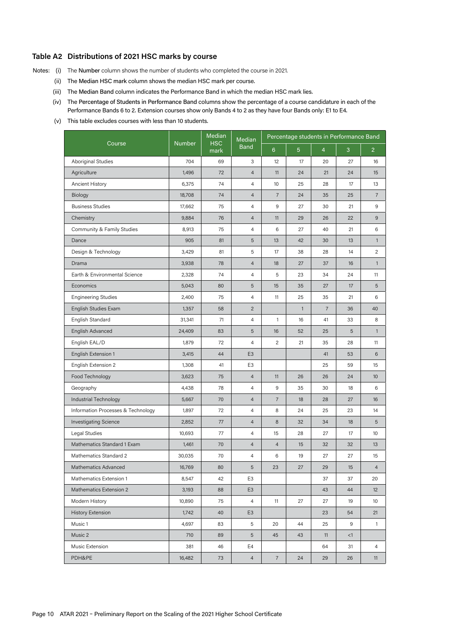#### **Table A2 Distributions of 2021 HSC marks by course**

- Notes: (i) The Number column shows the number of students who completed the course in 2021.
	- (ii) The Median HSC mark column shows the median HSC mark per course.
	- (iii) The Median Band column indicates the Performance Band in which the median HSC mark lies.
	- (iv) The Percentage of Students in Performance Band columns show the percentage of a course candidature in each of the Performance Bands 6 to 2. Extension courses show only Bands 4 to 2 as they have four Bands only: E1 to E4.
	- (v) This table excludes courses with less than 10 students.

|                                    |               | Median             | Median         |                  |                |                | Percentage students in Performance Band |                |
|------------------------------------|---------------|--------------------|----------------|------------------|----------------|----------------|-----------------------------------------|----------------|
| Course                             | <b>Number</b> | <b>HSC</b><br>mark | <b>Band</b>    | $6\phantom{1}$   | $\overline{5}$ | $\overline{4}$ | 3                                       | 2 <sup>1</sup> |
| <b>Aboriginal Studies</b>          | 704           | 69                 | 3              | 12               | 17             | 20             | 27                                      | 16             |
| Agriculture                        | 1,496         | 72                 | $\overline{4}$ | 11               | 24             | 21             | 24                                      | 15             |
| Ancient History                    | 6,375         | 74                 | 4              | 10               | 25             | 28             | 17                                      | 13             |
| Biology                            | 18,708        | 74                 | $\overline{4}$ | $\overline{7}$   | 24             | 35             | 25                                      | $\overline{7}$ |
| <b>Business Studies</b>            | 17,662        | 75                 | 4              | $\boldsymbol{9}$ | 27             | 30             | 21                                      | 9              |
| Chemistry                          | 9,884         | 76                 | $\overline{4}$ | 11               | 29             | 26             | 22                                      | 9              |
| Community & Family Studies         | 8,913         | 75                 | 4              | 6                | 27             | 40             | 21                                      | 6              |
| Dance                              | 905           | 81                 | 5              | 13               | 42             | 30             | 13                                      | $\mathbf{1}$   |
| Design & Technology                | 3,429         | 81                 | 5              | 17               | 38             | 28             | 14                                      | 2              |
| Drama                              | 3,938         | 78                 | $\overline{4}$ | 18               | 27             | 37             | 16                                      | $\mathbf{1}$   |
| Earth & Environmental Science      | 2,328         | 74                 | 4              | 5                | 23             | 34             | 24                                      | 11             |
| Economics                          | 5,043         | 80                 | 5              | 15               | 35             | 27             | 17                                      | 5              |
| <b>Engineering Studies</b>         | 2,400         | 75                 | 4              | 11               | 25             | 35             | 21                                      | 6              |
| English Studies Exam               | 1,357         | 58                 | $\overline{2}$ |                  | $\mathbf{1}$   | $\overline{7}$ | 36                                      | 40             |
| English Standard                   | 31,341        | 71                 | 4              | $\mathbf{1}$     | 16             | 41             | 33                                      | 8              |
| English Advanced                   | 24,409        | 83                 | 5              | 16               | 52             | 25             | 5                                       | $\mathbf{1}$   |
| English EAL/D                      | 1,879         | 72                 | $\overline{4}$ | 2                | 21             | 35             | 28                                      | 11             |
| English Extension 1                | 3,415         | 44                 | E <sub>3</sub> |                  |                | 41             | 53                                      | 6              |
| English Extension 2                | 1,308         | 41                 | E <sub>3</sub> |                  |                | 25             | 59                                      | 15             |
| Food Technology                    | 3,623         | 75                 | $\overline{4}$ | 11               | 26             | 26             | 24                                      | 10             |
| Geography                          | 4,438         | 78                 | $\overline{4}$ | $9\,$            | 35             | 30             | 18                                      | 6              |
| Industrial Technology              | 5,667         | 70                 | $\overline{4}$ | $\overline{7}$   | 18             | 28             | 27                                      | 16             |
| Information Processes & Technology | 1,897         | 72                 | 4              | 8                | 24             | 25             | 23                                      | 14             |
| <b>Investigating Science</b>       | 2,852         | 77                 | $\overline{4}$ | $\,8\,$          | 32             | 34             | 18                                      | 5              |
| Legal Studies                      | 10,693        | 77                 | $\overline{4}$ | 15               | 28             | 27             | 17                                      | 10             |
| Mathematics Standard 1 Exam        | 1,461         | 70                 | $\overline{4}$ | $\overline{4}$   | 15             | 32             | 32                                      | 13             |
| Mathematics Standard 2             | 30,035        | 70                 | 4              | 6                | 19             | 27             | 27                                      | 15             |
| Mathematics Advanced               | 16,769        | 80                 | $\,$ 5 $\,$    | 23               | 27             | 29             | $15\,$                                  | $\overline{4}$ |
| Mathematics Extension 1            | 8,547         | 42                 | E3             |                  |                | 37             | 37                                      | 20             |
| Mathematics Extension 2            | 3,193         | 88                 | E <sub>3</sub> |                  |                | 43             | 44                                      | 12             |
| Modern History                     | 10,890        | 75                 | $\overline{4}$ | 11               | 27             | 27             | 19                                      | 10             |
| <b>History Extension</b>           | 1,742         | 40                 | E <sub>3</sub> |                  |                | 23             | 54                                      | 21             |
| Music 1                            | 4,697         | 83                 | 5              | 20               | 44             | 25             | 9                                       | $\mathbf{1}$   |
| Music 2                            | 710           | 89                 | 5              | 45               | 43             | 11             | <1                                      |                |
| Music Extension                    | 381           | 46                 | E4             |                  |                | 64             | 31                                      | 4              |
| PDH&PE                             | 16,482        | 73                 | $\overline{4}$ | $\overline{7}$   | 24             | 29             | 26                                      | 11             |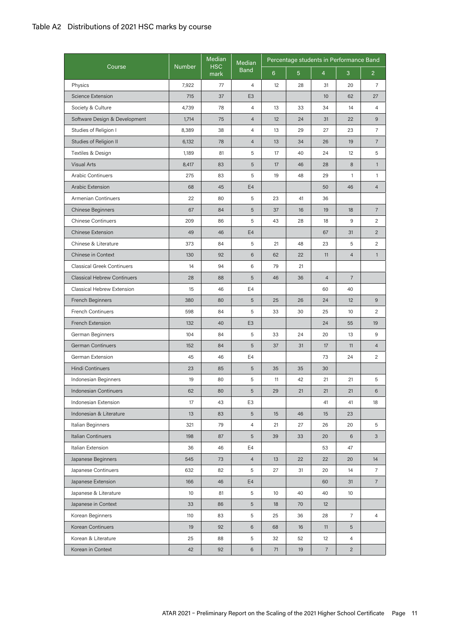### Table A2 Distributions of 2021 HSC marks by course

|                                    |                 | Median             | Median          |                |                |                | Percentage students in Performance Band |                |
|------------------------------------|-----------------|--------------------|-----------------|----------------|----------------|----------------|-----------------------------------------|----------------|
| Course                             | <b>Number</b>   | <b>HSC</b><br>mark | <b>Band</b>     | $6\phantom{a}$ | $\overline{5}$ | $\overline{4}$ | 3                                       | $\overline{2}$ |
| Physics                            | 7,922           | 77                 | 4               | 12             | 28             | 31             | 20                                      | $\overline{7}$ |
| Science Extension                  | 715             | 37                 | E <sub>3</sub>  |                |                | 10             | 62                                      | 27             |
| Society & Culture                  | 4,739           | 78                 | 4               | 13             | 33             | 34             | 14                                      | $\overline{4}$ |
| Software Design & Development      | 1,714           | 75                 | $\overline{4}$  | 12             | 24             | 31             | 22                                      | 9              |
| Studies of Religion I              | 8,389           | 38                 | 4               | 13             | 29             | 27             | 23                                      | $\overline{7}$ |
| Studies of Religion II             | 6,132           | 78                 | $\overline{4}$  | 13             | 34             | 26             | 19                                      | $\overline{7}$ |
| Textiles & Design                  | 1,189           | 81                 | 5               | 17             | 40             | 24             | 12                                      | 5              |
| <b>Visual Arts</b>                 | 8,417           | 83                 | 5               | 17             | 46             | 28             | 8                                       | $\mathbf{1}$   |
| <b>Arabic Continuers</b>           | 275             | 83                 | 5               | 19             | 48             | 29             | $\mathbf{1}$                            | 1              |
| Arabic Extension                   | 68              | 45                 | E <sub>4</sub>  |                |                | 50             | 46                                      | $\overline{4}$ |
| Armenian Continuers                | 22              | 80                 | 5               | 23             | 41             | 36             |                                         |                |
| <b>Chinese Beginners</b>           | 67              | 84                 | 5               | 37             | 16             | 19             | 18                                      | $\overline{7}$ |
| <b>Chinese Continuers</b>          | 209             | 86                 | 5               | 43             | 28             | 18             | 9                                       | $\overline{c}$ |
| <b>Chinese Extension</b>           | 49              | 46                 | E <sub>4</sub>  |                |                | 67             | 31                                      | $\overline{2}$ |
| Chinese & Literature               | 373             | 84                 | 5               | 21             | 48             | 23             | 5                                       | $\overline{c}$ |
| Chinese in Context                 | 130             | 92                 | 6               | 62             | 22             | 11             | $\overline{4}$                          | $\mathbf{1}$   |
| <b>Classical Greek Continuers</b>  | 14              | 94                 | 6               | 79             | 21             |                |                                         |                |
| <b>Classical Hebrew Continuers</b> | 28              | 88                 | 5               | 46             | 36             | $\overline{4}$ | $\overline{7}$                          |                |
| Classical Hebrew Extension         | 15              | 46                 | E4              |                |                | 60             | 40                                      |                |
| French Beginners                   | 380             | 80                 | 5               | 25             | 26             | 24             | 12                                      | 9              |
| <b>French Continuers</b>           | 598             | 84                 | 5               | 33             | 30             | 25             | 10                                      | 2              |
| French Extension                   | 132             | 40                 | E <sub>3</sub>  |                |                | 24             | 55                                      | 19             |
| German Beginners                   | 104             | 84                 | 5               | 33             | 24             | 20             | 13                                      | 9              |
| German Continuers                  | 152             | 84                 | 5               | 37             | 31             | 17             | 11                                      | $\overline{4}$ |
| German Extension                   | 45              | 46                 | E4              |                |                | 73             | 24                                      | 2              |
| <b>Hindi Continuers</b>            | 23              | 85                 | 5               | 35             | 35             | 30             |                                         |                |
| Indonesian Beginners               | 19              | 80                 | 5               | 11             | 42             | 21             | 21                                      | 5              |
| Indonesian Continuers              | 62              | 80                 | 5               | 29             | 21             | 21             | 21                                      | 6              |
| Indonesian Extension               | 17              | 43                 | E3              |                |                | 41             | 41                                      | 18             |
| Indonesian & Literature            | 13              | 83                 | 5               | 15             | 46             | 15             | 23                                      |                |
| Italian Beginners                  | 321             | 79                 | $\overline{4}$  | 21             | 27             | 26             | 20                                      | 5              |
| Italian Continuers                 | 198             | 87                 | 5               | 39             | 33             | 20             | 6                                       | 3 <sup>1</sup> |
| Italian Extension                  | 36              | 46                 | E4              |                |                | 53             | 47                                      |                |
| Japanese Beginners                 | 545             | 73                 | $\overline{4}$  | 13             | 22             | 22             | 20                                      | 14             |
| Japanese Continuers                | 632             | 82                 | 5               | 27             | 31             | 20             | 14                                      | $\overline{7}$ |
| Japanese Extension                 | 166             | 46                 | E4              |                |                | 60             | 31                                      | $7^{\circ}$    |
| Japanese & Literature              | 10 <sup>°</sup> | 81                 | 5               | 10             | 40             | 40             | 10                                      |                |
| Japanese in Context                | 33              | 86                 | $5\phantom{.0}$ | 18             | 70             | 12             |                                         |                |
| Korean Beginners                   | 110             | 83                 | 5               | 25             | 36             | 28             | $\overline{7}$                          | $\overline{4}$ |
| Korean Continuers                  | 19              | 92                 | 6               | 68             | 16             | 11             | 5                                       |                |
| Korean & Literature                | 25              | 88                 | 5               | 32             | 52             | 12             | $\overline{4}$                          |                |
| Korean in Context                  | 42              | 92                 | 6               | 71             | 19             | $\overline{7}$ | $\overline{2}$                          |                |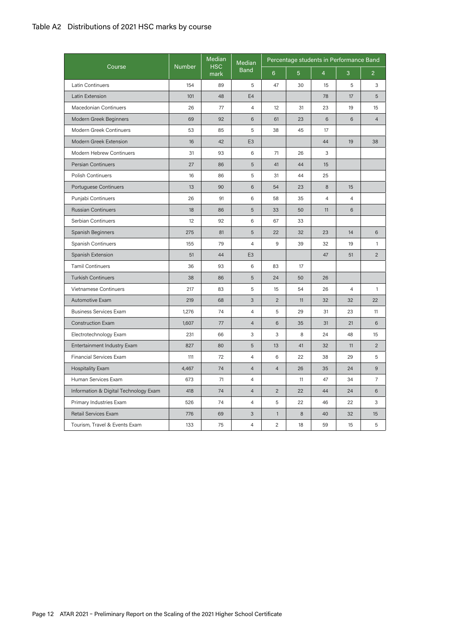### Table A2 Distributions of 2021 HSC marks by course

|                                       |               | Median             | Median         |                |                |                | Percentage students in Performance Band |                |
|---------------------------------------|---------------|--------------------|----------------|----------------|----------------|----------------|-----------------------------------------|----------------|
| Course                                | <b>Number</b> | <b>HSC</b><br>mark | <b>Band</b>    | 6 <sup>1</sup> | 5 <sup>5</sup> | $\overline{4}$ | 3                                       | $\overline{2}$ |
| Latin Continuers                      | 154           | 89                 | 5              | 47             | 30             | 15             | 5                                       | 3              |
| Latin Extension                       | 101           | 48                 | E4             |                |                | 78             | 17                                      | 5              |
| Macedonian Continuers                 | 26            | 77                 | $\overline{4}$ | 12             | 31             | 23             | 19                                      | 15             |
| Modern Greek Beginners                | 69            | 92                 | 6              | 61             | 23             | 6              | 6                                       | $\overline{4}$ |
| Modern Greek Continuers               | 53            | 85                 | 5              | 38             | 45             | 17             |                                         |                |
| Modern Greek Extension                | 16            | 42                 | E <sub>3</sub> |                |                | 44             | 19                                      | 38             |
| Modern Hebrew Continuers              | 31            | 93                 | 6              | 71             | 26             | 3              |                                         |                |
| <b>Persian Continuers</b>             | 27            | 86                 | 5              | 41             | 44             | 15             |                                         |                |
| <b>Polish Continuers</b>              | 16            | 86                 | 5              | 31             | 44             | 25             |                                         |                |
| Portuguese Continuers                 | 13            | 90                 | 6              | 54             | 23             | 8              | 15                                      |                |
| Punjabi Continuers                    | 26            | 91                 | 6              | 58             | 35             | $\overline{4}$ | $\overline{4}$                          |                |
| <b>Russian Continuers</b>             | 18            | 86                 | 5              | 33             | 50             | 11             | $6\phantom{.}$                          |                |
| Serbian Continuers                    | 12            | 92                 | 6              | 67             | 33             |                |                                         |                |
| Spanish Beginners                     | 275           | 81                 | 5              | 22             | 32             | 23             | 14                                      | 6              |
| Spanish Continuers                    | 155           | 79                 | $\overline{4}$ | 9              | 39             | 32             | 19                                      | $\mathbf{1}$   |
| Spanish Extension                     | 51            | 44                 | E <sub>3</sub> |                |                | 47             | 51                                      | $\overline{2}$ |
| <b>Tamil Continuers</b>               | 36            | 93                 | 6              | 83             | 17             |                |                                         |                |
| <b>Turkish Continuers</b>             | 38            | 86                 | 5              | 24             | 50             | 26             |                                         |                |
| Vietnamese Continuers                 | 217           | 83                 | 5              | 15             | 54             | 26             | $\overline{4}$                          | $\mathbf{1}$   |
| Automotive Exam                       | 219           | 68                 | 3              | $\overline{2}$ | 11             | 32             | 32                                      | 22             |
| <b>Business Services Exam</b>         | 1,276         | 74                 | $\overline{4}$ | 5              | 29             | 31             | 23                                      | 11             |
| Construction Exam                     | 1,607         | 77                 | $\overline{4}$ | 6              | 35             | 31             | 21                                      | $6\phantom{1}$ |
| Electrotechnology Exam                | 231           | 66                 | 3              | 3              | 8              | 24             | 48                                      | 15             |
| Entertainment Industry Exam           | 827           | 80                 | 5              | 13             | 41             | 32             | 11                                      | $\overline{2}$ |
| Financial Services Exam               | 111           | 72                 | 4              | 6              | 22             | 38             | 29                                      | 5              |
| <b>Hospitality Exam</b>               | 4,467         | 74                 | $\overline{4}$ | $\overline{4}$ | 26             | 35             | 24                                      | 9              |
| Human Services Exam                   | 673           | 71                 | $\overline{4}$ |                | 11             | 47             | 34                                      | $\overline{7}$ |
| Information & Digital Technology Exam | 418           | 74                 | $\overline{4}$ | $\overline{c}$ | 22             | 44             | 24                                      | 6              |
| Primary Industries Exam               | 526           | 74                 | 4              | 5              | 22             | 46             | 22                                      | 3              |
| Retail Services Exam                  | 776           | 69                 | 3              | $\mathbf{1}$   | 8              | 40             | 32                                      | 15             |
| Tourism, Travel & Events Exam         | 133           | 75                 | 4              | $\overline{c}$ | 18             | 59             | 15                                      | 5              |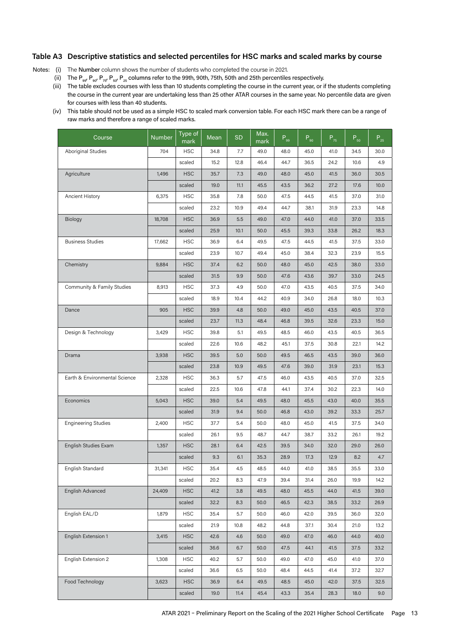Notes: (i) The Number column shows the number of students who completed the course in 2021.

- (ii) The P<sub>99</sub>, P<sub>90</sub>, P<sub>75</sub>, P<sub>50</sub>, P<sub>25</sub> columns refer to the 99th, 90th, 75th, 50th and 25th percentiles respectively.
- (iii) The table excludes courses with less than 10 students completing the course in the current year, or if the students completing the course in the current year are undertaking less than 25 other ATAR courses in the same year. No percentile data are given for courses with less than 40 students.
- (iv) This table should not be used as a simple HSC to scaled mark conversion table. For each HSC mark there can be a range of raw marks and therefore a range of scaled marks.

| Course                        | <b>Number</b> | Type of<br>mark | Mean | <b>SD</b> | Max.<br>mark | $\mathsf{P}_{\sf gg}$ | $P_{90}$ | $P_{75}$ | $P_{50}$ | $P_{25}$ |
|-------------------------------|---------------|-----------------|------|-----------|--------------|-----------------------|----------|----------|----------|----------|
| <b>Aboriginal Studies</b>     | 704           | <b>HSC</b>      | 34.8 | 7.7       | 49.0         | 48.0                  | 45.0     | 41.0     | 34.5     | 30.0     |
|                               |               | scaled          | 15.2 | 12.8      | 46.4         | 44.7                  | 36.5     | 24.2     | 10.6     | 4.9      |
| Agriculture                   | 1,496         | <b>HSC</b>      | 35.7 | 7.3       | 49.0         | 48.0                  | 45.0     | 41.5     | 36.0     | 30.5     |
|                               |               | scaled          | 19.0 | 11.1      | 45.5         | 43.5                  | 36.2     | 27.2     | 17.6     | 10.0     |
| Ancient History               | 6,375         | <b>HSC</b>      | 35.8 | 7.8       | 50.0         | 47.5                  | 44.5     | 41.5     | 37.0     | 31.0     |
|                               |               | scaled          | 23.2 | 10.9      | 49.4         | 44.7                  | 38.1     | 31.9     | 23.3     | 14.8     |
| <b>Biology</b>                | 18,708        | <b>HSC</b>      | 36.9 | 5.5       | 49.0         | 47.0                  | 44.0     | 41.0     | 37.0     | 33.5     |
|                               |               | scaled          | 25.9 | 10.1      | 50.0         | 45.5                  | 39.3     | 33.8     | 26.2     | 18.3     |
| <b>Business Studies</b>       | 17,662        | <b>HSC</b>      | 36.9 | 6.4       | 49.5         | 47.5                  | 44.5     | 41.5     | 37.5     | 33.0     |
|                               |               | scaled          | 23.9 | 10.7      | 49.4         | 45.0                  | 38.4     | 32.3     | 23.9     | 15.5     |
| Chemistry                     | 9,884         | <b>HSC</b>      | 37.4 | 6.2       | 50.0         | 48.0                  | 45.0     | 42.5     | 38.0     | 33.0     |
|                               |               | scaled          | 31.5 | 9.9       | 50.0         | 47.6                  | 43.6     | 39.7     | 33.0     | 24.5     |
| Community & Family Studies    | 8,913         | <b>HSC</b>      | 37.3 | 4.9       | 50.0         | 47.0                  | 43.5     | 40.5     | 37.5     | 34.0     |
|                               |               | scaled          | 18.9 | 10.4      | 44.2         | 40.9                  | 34.0     | 26.8     | 18.0     | 10.3     |
| Dance                         | 905           | <b>HSC</b>      | 39.9 | 4.8       | 50.0         | 49.0                  | 45.0     | 43.5     | 40.5     | 37.0     |
|                               |               | scaled          | 23.7 | 11.3      | 48.4         | 46.8                  | 39.5     | 32.6     | 23.3     | 15.0     |
| Design & Technology           | 3,429         | <b>HSC</b>      | 39.8 | 5.1       | 49.5         | 48.5                  | 46.0     | 43.5     | 40.5     | 36.5     |
|                               |               | scaled          | 22.6 | 10.6      | 48.2         | 45.1                  | 37.5     | 30.8     | 22.1     | 14.2     |
| Drama                         | 3,938         | <b>HSC</b>      | 39.5 | 5.0       | 50.0         | 49.5                  | 46.5     | 43.5     | 39.0     | 36.0     |
|                               |               | scaled          | 23.8 | 10.9      | 49.5         | 47.6                  | 39.0     | 31.9     | 23.1     | 15.3     |
| Earth & Environmental Science | 2,328         | <b>HSC</b>      | 36.3 | 5.7       | 47.5         | 46.0                  | 43.5     | 40.5     | 37.0     | 32.5     |
|                               |               | scaled          | 22.5 | 10.6      | 47.8         | 44.1                  | 37.4     | 30.2     | 22.3     | 14.0     |
| Economics                     | 5,043         | <b>HSC</b>      | 39.0 | 5.4       | 49.5         | 48.0                  | 45.5     | 43.0     | 40.0     | 35.5     |
|                               |               | scaled          | 31.9 | 9.4       | 50.0         | 46.8                  | 43.0     | 39.2     | 33.3     | 25.7     |
| <b>Engineering Studies</b>    | 2,400         | <b>HSC</b>      | 37.7 | 5.4       | 50.0         | 48.0                  | 45.0     | 41.5     | 37.5     | 34.0     |
|                               |               | scaled          | 26.1 | 9.5       | 48.7         | 44.7                  | 38.7     | 33.2     | 26.1     | 19.2     |
| English Studies Exam          | 1,357         | <b>HSC</b>      | 28.1 | 6.4       | 42.5         | 39.5                  | 34.0     | 32.0     | 29.0     | 26.0     |
|                               |               | scaled          | 9.3  | 6.1       | 35.3         | 28.9                  | 17.3     | 12.9     | 8.2      | 4.7      |
| English Standard              | 31,341        | <b>HSC</b>      | 35.4 | 4.5       | 48.5         | 44.0                  | 41.0     | 38.5     | 35.5     | 33.0     |
|                               |               | scaled          | 20.2 | 8.3       | 47.9         | 39.4                  | 31.4     | 26.0     | 19.9     | 14.2     |
| English Advanced              | 24,409        | <b>HSC</b>      | 41.2 | 3.8       | 49.5         | 48.0                  | 45.5     | 44.0     | 41.5     | 39.0     |
|                               |               | scaled          | 32.2 | 8.3       | 50.0         | 46.5                  | 42.3     | 38.5     | 33.2     | 26.9     |
| English EAL/D                 | 1,879         | <b>HSC</b>      | 35.4 | 5.7       | 50.0         | 46.0                  | 42.0     | 39.5     | 36.0     | 32.0     |
|                               |               | scaled          | 21.9 | 10.8      | 48.2         | 44.8                  | 37.1     | 30.4     | 21.0     | 13.2     |
| English Extension 1           | 3,415         | <b>HSC</b>      | 42.6 | 4.6       | 50.0         | 49.0                  | 47.0     | 46.0     | 44.0     | 40.0     |
|                               |               | scaled          | 36.6 | 6.7       | 50.0         | 47.5                  | 44.1     | 41.5     | 37.5     | 33.2     |
| English Extension 2           | 1,308         | <b>HSC</b>      | 40.2 | 5.7       | 50.0         | 49.0                  | 47.0     | 45.0     | 41.0     | 37.0     |
|                               |               | scaled          | 36.6 | 6.5       | 50.0         | 48.4                  | 44.5     | 41.4     | 37.2     | 32.7     |
| Food Technology               | 3,623         | <b>HSC</b>      | 36.9 | 6.4       | 49.5         | 48.5                  | 45.0     | 42.0     | 37.5     | 32.5     |
|                               |               | scaled          | 19.0 | 11.4      | 45.4         | 43.3                  | 35.4     | 28.3     | 18.0     | 9.0      |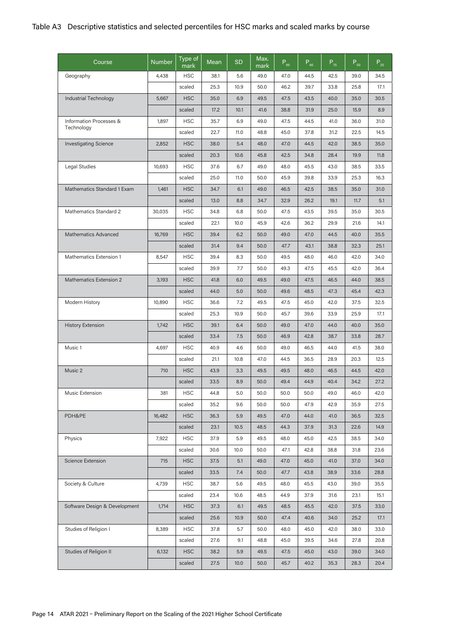| Course                         | <b>Number</b> | Type of<br>mark | Mean | <b>SD</b> | Max.<br>mark | $P_{.99}$ | $P_{g_0}$ | $P_{75}$ | $P_{50}$ | $P_{25}$ |
|--------------------------------|---------------|-----------------|------|-----------|--------------|-----------|-----------|----------|----------|----------|
| Geography                      | 4,438         | <b>HSC</b>      | 38.1 | 5.6       | 49.0         | 47.0      | 44.5      | 42.5     | 39.0     | 34.5     |
|                                |               | scaled          | 25.3 | 10.9      | 50.0         | 46.2      | 39.7      | 33.8     | 25.8     | 17.1     |
| Industrial Technology          | 5,667         | <b>HSC</b>      | 35.0 | 6.9       | 49.5         | 47.5      | 43.5      | 40.0     | 35.0     | 30.5     |
|                                |               | scaled          | 17.2 | 10.1      | 41.6         | 38.8      | 31.9      | 25.0     | 15.9     | 8.9      |
| Information Processes &        | 1,897         | <b>HSC</b>      | 35.7 | 6.9       | 49.0         | 47.5      | 44.5      | 41.0     | 36.0     | 31.0     |
| Technology                     |               | scaled          | 22.7 | 11.0      | 48.8         | 45.0      | 37.8      | 31.2     | 22.5     | 14.5     |
| <b>Investigating Science</b>   | 2,852         | <b>HSC</b>      | 38.0 | 5.4       | 48.0         | 47.0      | 44.5      | 42.0     | 38.5     | 35.0     |
|                                |               | scaled          | 20.3 | 10.6      | 45.8         | 42.5      | 34.8      | 28.4     | 19.9     | 11.8     |
| Legal Studies                  | 10,693        | <b>HSC</b>      | 37.6 | 6.7       | 49.0         | 48.0      | 45.5      | 43.0     | 38.5     | 33.5     |
|                                |               | scaled          | 25.0 | 11.0      | 50.0         | 45.9      | 39.8      | 33.9     | 25.3     | 16.3     |
| Mathematics Standard 1 Exam    | 1,461         | <b>HSC</b>      | 34.7 | 6.1       | 49.0         | 46.5      | 42.5      | 38.5     | 35.0     | 31.0     |
|                                |               | scaled          | 13.0 | 8.8       | 34.7         | 32.9      | 26.2      | 19.1     | 11.7     | 5.1      |
| Mathematics Standard 2         | 30,035        | <b>HSC</b>      | 34.8 | 6.8       | 50.0         | 47.5      | 43.5      | 39.5     | 35.0     | 30.5     |
|                                |               | scaled          | 22.1 | 10.0      | 45.9         | 42.6      | 36.2      | 29.9     | 21.6     | 14.1     |
| <b>Mathematics Advanced</b>    | 16,769        | <b>HSC</b>      | 39.4 | 6.2       | 50.0         | 49.0      | 47.0      | 44.5     | 40.0     | 35.5     |
|                                |               | scaled          | 31.4 | 9.4       | 50.0         | 47.7      | 43.1      | 38.8     | 32.3     | 25.1     |
| Mathematics Extension 1        | 8,547         | <b>HSC</b>      | 39.4 | 8.3       | 50.0         | 49.5      | 48.0      | 46.0     | 42.0     | 34.0     |
|                                |               | scaled          | 39.9 | 7.7       | 50.0         | 49.3      | 47.5      | 45.5     | 42.0     | 36.4     |
| <b>Mathematics Extension 2</b> | 3,193         | <b>HSC</b>      | 41.8 | 6.0       | 49.5         | 49.0      | 47.5      | 46.5     | 44.0     | 38.5     |
|                                |               | scaled          | 44.0 | 5.0       | 50.0         | 49.6      | 48.5      | 47.3     | 45.4     | 42.3     |
| Modern History                 | 10,890        | <b>HSC</b>      | 36.6 | 7.2       | 49.5         | 47.5      | 45.0      | 42.0     | 37.5     | 32.5     |
|                                |               | scaled          | 25.3 | 10.9      | 50.0         | 45.7      | 39.6      | 33.9     | 25.9     | 17.1     |
| <b>History Extension</b>       | 1,742         | <b>HSC</b>      | 39.1 | 6.4       | 50.0         | 49.0      | 47.0      | 44.0     | 40.0     | 35.0     |
|                                |               | scaled          | 33.4 | 7.5       | 50.0         | 46.9      | 42.8      | 38.7     | 33.8     | 28.7     |
| Music 1                        | 4,697         | <b>HSC</b>      | 40.9 | 4.6       | 50.0         | 49.0      | 46.5      | 44.0     | 41.5     | 38.0     |
|                                |               | scaled          | 21.1 | 10.8      | 47.0         | 44.5      | 36.5      | 28.9     | 20.3     | 12.5     |
| Music 2                        | 710           | <b>HSC</b>      | 43.9 | 3.3       | 49.5         | 49.5      | 48.0      | 46.5     | 44.5     | 42.0     |
|                                |               | scaled          | 33.5 | 8.9       | 50.0         | 49.4      | 44.9      | 40.4     | 34.2     | 27.2     |
| Music Extension                | 381           | <b>HSC</b>      | 44.8 | 5.0       | 50.0         | 50.0      | 50.0      | 49.0     | 46.0     | 42.0     |
|                                |               | scaled          | 35.2 | 9.6       | 50.0         | 50.0      | 47.9      | 42.9     | 35.9     | 27.5     |
| PDH&PE                         | 16,482        | <b>HSC</b>      | 36.3 | 5.9       | 49.5         | 47.0      | 44.0      | 41.0     | 36.5     | 32.5     |
|                                |               | scaled          | 23.1 | 10.5      | 48.5         | 44.3      | 37.9      | 31.3     | 22.6     | 14.9     |
| Physics                        | 7,922         | <b>HSC</b>      | 37.9 | 5.9       | 49.5         | 48.0      | 45.0      | 42.5     | 38.5     | 34.0     |
|                                |               | scaled          | 30.6 | 10.0      | 50.0         | 47.1      | 42.8      | 38.8     | 31.8     | 23.6     |
| <b>Science Extension</b>       | 715           | <b>HSC</b>      | 37.5 | 5.1       | 49.0         | 47.0      | 45.0      | 41.0     | 37.0     | 34.0     |
|                                |               | scaled          | 33.5 | 7.4       | 50.0         | 47.7      | 43.8      | 38.9     | 33.6     | 28.8     |
| Society & Culture              | 4,739         | <b>HSC</b>      | 38.7 | 5.6       | 49.5         | 48.0      | 45.5      | 43.0     | 39.0     | 35.5     |
|                                |               | scaled          | 23.4 | 10.6      | 48.5         | 44.9      | 37.9      | 31.6     | 23.1     | 15.1     |
| Software Design & Development  | 1,714         | <b>HSC</b>      | 37.3 | 6.1       | 49.5         | 48.5      | 45.5      | 42.0     | 37.5     | 33.0     |
|                                |               | scaled          | 25.6 | 10.9      | 50.0         | 47.4      | 40.6      | 34.0     | 25.2     | 17.1     |
| Studies of Religion I          | 8,389         | <b>HSC</b>      | 37.8 | 5.7       | 50.0         | 48.0      | 45.0      | 42.0     | 38.0     | 33.0     |
|                                |               | scaled          | 27.6 | 9.1       | 48.8         | 45.0      | 39.5      | 34.6     | 27.8     | 20.8     |
| Studies of Religion II         |               |                 |      |           |              |           |           |          |          |          |
|                                | 6,132         | <b>HSC</b>      | 38.2 | 5.9       | 49.5         | 47.5      | 45.0      | 43.0     | 39.0     | 34.0     |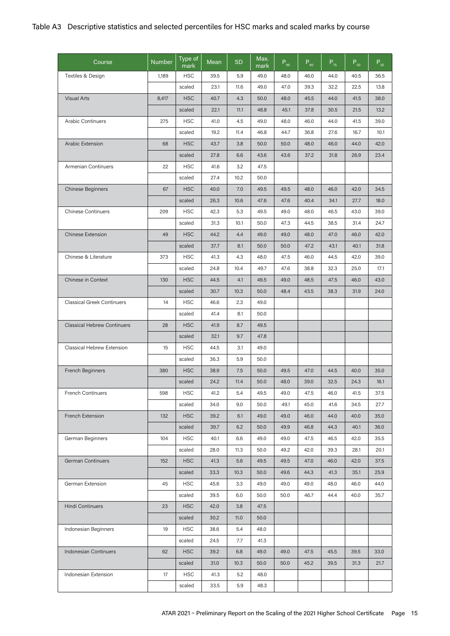| Course                             | <b>Number</b> | Type of<br>mark | Mean | SD   | Max.<br>mark | $P_{gg}$ | $P_{g_0}$ | $P_{75}$ | $P_{50}$ | $P_{25}$ |
|------------------------------------|---------------|-----------------|------|------|--------------|----------|-----------|----------|----------|----------|
| Textiles & Design                  | 1,189         | <b>HSC</b>      | 39.5 | 5.9  | 49.0         | 48.0     | 46.0      | 44.0     | 40.5     | 36.5     |
|                                    |               | scaled          | 23.1 | 11.6 | 49.0         | 47.0     | 39.3      | 32.2     | 22.5     | 13.8     |
| Visual Arts                        | 8,417         | <b>HSC</b>      | 40.7 | 4.3  | 50.0         | 48.0     | 45.5      | 44.0     | 41.5     | 38.0     |
|                                    |               | scaled          | 22.1 | 11.1 | 48.8         | 45.1     | 37.8      | 30.5     | 21.5     | 13.2     |
| <b>Arabic Continuers</b>           | 275           | <b>HSC</b>      | 41.0 | 4.5  | 49.0         | 48.0     | 46.0      | 44.0     | 41.5     | 39.0     |
|                                    |               | scaled          | 19.2 | 11.4 | 46.8         | 44.7     | 36.8      | 27.6     | 16.7     | 10.1     |
| Arabic Extension                   | 68            | <b>HSC</b>      | 43.7 | 3.8  | 50.0         | 50.0     | 48.0      | 46.0     | 44.0     | 42.0     |
|                                    |               | scaled          | 27.8 | 6.6  | 43.6         | 43.6     | 37.2      | 31.8     | 26.9     | 23.4     |
| Armenian Continuers                | 22            | <b>HSC</b>      | 41.6 | 3.2  | 47.5         |          |           |          |          |          |
|                                    |               | scaled          | 27.4 | 10.2 | 50.0         |          |           |          |          |          |
| Chinese Beginners                  | 67            | <b>HSC</b>      | 40.0 | 7.0  | 49.5         | 49.5     | 48.0      | 46.0     | 42.0     | 34.5     |
|                                    |               | scaled          | 26.3 | 10.6 | 47.6         | 47.6     | 40.4      | 34.1     | 27.7     | 18.0     |
| <b>Chinese Continuers</b>          | 209           | <b>HSC</b>      | 42.3 | 5.3  | 49.5         | 49.0     | 48.0      | 46.5     | 43.0     | 39.0     |
|                                    |               | scaled          | 31.3 | 10.1 | 50.0         | 47.3     | 44.5      | 38.5     | 31.4     | 24.7     |
| <b>Chinese Extension</b>           | 49            | <b>HSC</b>      | 44.2 | 4.4  | 49.0         | 49.0     | 48.0      | 47.0     | 46.0     | 42.0     |
|                                    |               | scaled          | 37.7 | 8.1  | 50.0         | 50.0     | 47.2      | 43.1     | 40.1     | 31.8     |
| Chinese & Literature               | 373           | <b>HSC</b>      | 41.3 | 4.3  | 48.0         | 47.5     | 46.0      | 44.5     | 42.0     | 39.0     |
|                                    |               | scaled          | 24.8 | 10.4 | 49.7         | 47.6     | 38.8      | 32.3     | 25.0     | 17.1     |
| Chinese in Context                 | 130           | <b>HSC</b>      | 44.5 | 4.1  | 49.5         | 49.0     | 48.5      | 47.5     | 46.0     | 43.0     |
|                                    |               | scaled          | 30.7 | 10.3 | 50.0         | 48.4     | 43.5      | 38.3     | 31.9     | 24.0     |
| <b>Classical Greek Continuers</b>  | 14            | <b>HSC</b>      | 46.6 | 2.3  | 49.0         |          |           |          |          |          |
|                                    |               | scaled          | 41.4 | 8.1  | 50.0         |          |           |          |          |          |
| <b>Classical Hebrew Continuers</b> | 28            | <b>HSC</b>      | 41.9 | 8.7  | 49.5         |          |           |          |          |          |
|                                    |               | scaled          | 32.1 | 9.7  | 47.8         |          |           |          |          |          |
| Classical Hebrew Extension         | 15            | <b>HSC</b>      | 44.5 | 3.1  | 49.0         |          |           |          |          |          |
|                                    |               | scaled          | 36.3 | 5.9  | 50.0         |          |           |          |          |          |
| French Beginners                   | 380           | <b>HSC</b>      | 38.9 | 7.5  | 50.0         | 49.5     | 47.0      | 44.5     | 40.0     | 35.0     |
|                                    |               | scaled          | 24.2 | 11.4 | 50.0         | 48.0     | 39.0      | 32.5     | 24.3     | 16.1     |
| French Continuers                  | 598           | <b>HSC</b>      | 41.2 | 5.4  | 49.5         | 49.0     | 47.5      | 46.0     | 41.5     | 37.5     |
|                                    |               | scaled          | 34.0 | 9.0  | 50.0         | 49.1     | 45.0      | 41.6     | 34.5     | 27.7     |
| French Extension                   | 132           | <b>HSC</b>      | 39.2 | 6.1  | 49.0         | 49.0     | 46.0      | 44.0     | 40.0     | 35.0     |
|                                    |               | scaled          | 39.7 | 6.2  | 50.0         | 49.9     | 46.8      | 44.3     | 40.1     | 36.0     |
| German Beginners                   | 104           | <b>HSC</b>      | 40.1 | 6.6  | 49.0         | 49.0     | 47.5      | 46.5     | 42.0     | 35.5     |
|                                    |               | scaled          | 28.0 | 11.3 | 50.0         | 49.2     | 42.0      | 39.3     | 28.1     | 20.1     |
| German Continuers                  | 152           | <b>HSC</b>      | 41.3 | 5.6  | 49.5         | 49.5     | 47.0      | 46.0     | 42.0     | 37.5     |
|                                    |               | scaled          | 33.3 | 10.3 | 50.0         | 49.6     | 44.3      | 41.3     | 35.1     | 25.9     |
| German Extension                   | 45            | <b>HSC</b>      | 45.6 | 3.3  | 49.0         | 49.0     | 49.0      | 48.0     | 46.0     | 44.0     |
|                                    |               | scaled          | 39.5 | 6.0  | 50.0         | 50.0     | 46.7      | 44.4     | 40.0     | 35.7     |
| Hindi Continuers                   | 23            | <b>HSC</b>      | 42.0 | 3.8  | 47.5         |          |           |          |          |          |
|                                    |               | scaled          | 30.2 | 11.0 | 50.0         |          |           |          |          |          |
| Indonesian Beginners               | 19            | <b>HSC</b>      | 38.6 | 5.4  | 48.0         |          |           |          |          |          |
|                                    |               | scaled          | 24.5 | 7.7  | 41.3         |          |           |          |          |          |
| Indonesian Continuers              | 62            | <b>HSC</b>      | 39.2 | 6.8  | 49.0         | 49.0     | 47.5      | 45.5     | 39.5     | 33.0     |
|                                    |               | scaled          | 31.0 | 10.3 | 50.0         | 50.0     | 45.2      | 39.5     | 31.3     | 21.7     |
| Indonesian Extension               | 17            | <b>HSC</b>      | 41.3 | 5.2  | 48.0         |          |           |          |          |          |
|                                    |               | scaled          | 33.5 | 5.9  | 48.3         |          |           |          |          |          |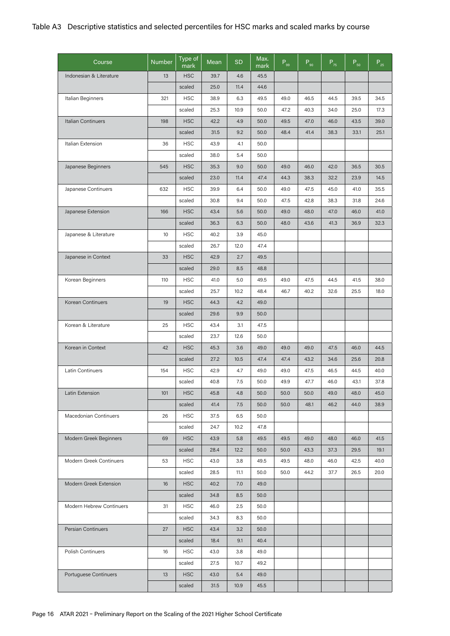| Course                   | <b>Number</b> | Type of<br>mark | Mean | <b>SD</b> | Max.<br>mark | $P_{gg}$ | $P_{90}$ | $P_{75}$ | $P_{50}$ | $P_{25}$ |
|--------------------------|---------------|-----------------|------|-----------|--------------|----------|----------|----------|----------|----------|
| Indonesian & Literature  | 13            | <b>HSC</b>      | 39.7 | 4.6       | 45.5         |          |          |          |          |          |
|                          |               | scaled          | 25.0 | 11.4      | 44.6         |          |          |          |          |          |
| Italian Beginners        | 321           | <b>HSC</b>      | 38.9 | 6.3       | 49.5         | 49.0     | 46.5     | 44.5     | 39.5     | 34.5     |
|                          |               | scaled          | 25.3 | 10.9      | 50.0         | 47.2     | 40.3     | 34.0     | 25.0     | 17.3     |
| Italian Continuers       | 198           | <b>HSC</b>      | 42.2 | 4.9       | 50.0         | 49.5     | 47.0     | 46.0     | 43.5     | 39.0     |
|                          |               | scaled          | 31.5 | 9.2       | 50.0         | 48.4     | 41.4     | 38.3     | 33.1     | 25.1     |
| Italian Extension        | 36            | <b>HSC</b>      | 43.9 | 4.1       | 50.0         |          |          |          |          |          |
|                          |               | scaled          | 38.0 | 5.4       | 50.0         |          |          |          |          |          |
| Japanese Beginners       | 545           | <b>HSC</b>      | 35.3 | 9.0       | 50.0         | 49.0     | 46.0     | 42.0     | 36.5     | 30.5     |
|                          |               | scaled          | 23.0 | 11.4      | 47.4         | 44.3     | 38.3     | 32.2     | 23.9     | 14.5     |
| Japanese Continuers      | 632           | <b>HSC</b>      | 39.9 | 6.4       | 50.0         | 49.0     | 47.5     | 45.0     | 41.0     | 35.5     |
|                          |               | scaled          | 30.8 | 9.4       | 50.0         | 47.5     | 42.8     | 38.3     | 31.8     | 24.6     |
| Japanese Extension       | 166           | <b>HSC</b>      | 43.4 | 5.6       | 50.0         | 49.0     | 48.0     | 47.0     | 46.0     | 41.0     |
|                          |               | scaled          | 36.3 | 6.3       | 50.0         | 48.0     | 43.6     | 41.3     | 36.9     | 32.3     |
| Japanese & Literature    | 10            | <b>HSC</b>      | 40.2 | 3.9       | 45.0         |          |          |          |          |          |
|                          |               | scaled          | 26.7 | 12.0      | 47.4         |          |          |          |          |          |
| Japanese in Context      | 33            | <b>HSC</b>      | 42.9 | 2.7       | 49.5         |          |          |          |          |          |
|                          |               | scaled          | 29.0 | 8.5       | 48.8         |          |          |          |          |          |
| Korean Beginners         | 110           | <b>HSC</b>      | 41.0 | 5.0       | 49.5         | 49.0     | 47.5     | 44.5     | 41.5     | 38.0     |
|                          |               | scaled          | 25.7 | 10.2      | 48.4         | 46.7     | 40.2     | 32.6     | 25.5     | 18.0     |
| Korean Continuers        | 19            | <b>HSC</b>      | 44.3 | 4.2       | 49.0         |          |          |          |          |          |
|                          |               | scaled          | 29.6 | 9.9       | 50.0         |          |          |          |          |          |
| Korean & Literature      | 25            | <b>HSC</b>      | 43.4 | 3.1       | 47.5         |          |          |          |          |          |
|                          |               | scaled          | 23.7 | 12.6      | 50.0         |          |          |          |          |          |
| Korean in Context        | 42            | <b>HSC</b>      | 45.3 | 3.6       | 49.0         | 49.0     | 49.0     | 47.5     | 46.0     | 44.5     |
|                          |               | scaled          | 27.2 | 10.5      | 47.4         | 47.4     | 43.2     | 34.6     | 25.6     | 20.8     |
| Latin Continuers         | 154           | <b>HSC</b>      | 42.9 | 4.7       | 49.0         | 49.0     | 47.5     | 46.5     | 44.5     | 40.0     |
|                          |               | scaled          | 40.8 | 7.5       | 50.0         | 49.9     | 47.7     | 46.0     | 43.1     | 37.8     |
| Latin Extension          | 101           | <b>HSC</b>      | 45.8 | 4.8       | 50.0         | 50.0     | 50.0     | 49.0     | 48.0     | 45.0     |
|                          |               | scaled          | 41.4 | 7.5       | 50.0         | 50.0     | 48.1     | 46.2     | 44.0     | 38.9     |
| Macedonian Continuers    | 26            | <b>HSC</b>      | 37.5 | 6.5       | 50.0         |          |          |          |          |          |
|                          |               | scaled          | 24.7 | 10.2      | 47.8         |          |          |          |          |          |
| Modern Greek Beginners   | 69            | <b>HSC</b>      | 43.9 | 5.8       | 49.5         | 49.5     | 49.0     | 48.0     | 46.0     | 41.5     |
|                          |               | scaled          | 28.4 | 12.2      | 50.0         | 50.0     | 43.3     | 37.3     | 29.5     | 19.1     |
| Modern Greek Continuers  | 53            | <b>HSC</b>      | 43.0 | 3.8       | 49.5         | 49.5     | 48.0     | 46.0     | 42.5     | 40.0     |
|                          |               | scaled          | 28.5 | 11.1      | 50.0         | 50.0     | 44.2     | 37.7     | 26.5     | 20.0     |
| Modern Greek Extension   | 16            | <b>HSC</b>      | 40.2 | 7.0       | 49.0         |          |          |          |          |          |
|                          |               | scaled          | 34.8 | 8.5       | 50.0         |          |          |          |          |          |
| Modern Hebrew Continuers | 31            | <b>HSC</b>      | 46.0 | 2.5       | 50.0         |          |          |          |          |          |
|                          |               | scaled          | 34.3 | 8.3       | 50.0         |          |          |          |          |          |
| Persian Continuers       | 27            | <b>HSC</b>      | 43.4 | 3.2       | 50.0         |          |          |          |          |          |
|                          |               | scaled          | 18.4 | 9.1       | 40.4         |          |          |          |          |          |
| Polish Continuers        | 16            | <b>HSC</b>      | 43.0 | 3.8       | 49.0         |          |          |          |          |          |
|                          |               | scaled          | 27.5 | 10.7      | 49.2         |          |          |          |          |          |
| Portuguese Continuers    | 13            | <b>HSC</b>      | 43.0 | 5.4       | 49.0         |          |          |          |          |          |
|                          |               | scaled          | 31.5 | 10.9      | 45.5         |          |          |          |          |          |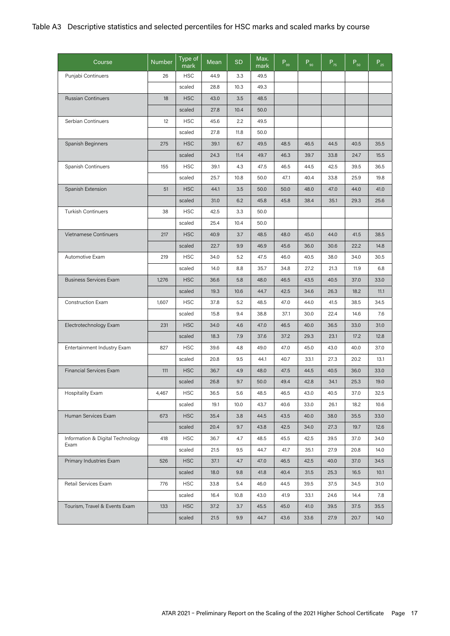| Course                           | <b>Number</b> | Type of<br>mark | Mean | <b>SD</b> | Max.<br>mark | $P_{_{99}}$ | $P_{90}$ | $P_{75}$ | $P_{50}$ | $P_{25}$ |
|----------------------------------|---------------|-----------------|------|-----------|--------------|-------------|----------|----------|----------|----------|
| Punjabi Continuers               | 26            | <b>HSC</b>      | 44.9 | 3.3       | 49.5         |             |          |          |          |          |
|                                  |               | scaled          | 28.8 | 10.3      | 49.3         |             |          |          |          |          |
| <b>Russian Continuers</b>        | 18            | <b>HSC</b>      | 43.0 | 3.5       | 48.5         |             |          |          |          |          |
|                                  |               | scaled          | 27.8 | 10.4      | 50.0         |             |          |          |          |          |
| Serbian Continuers               | 12            | <b>HSC</b>      | 45.6 | 2.2       | 49.5         |             |          |          |          |          |
|                                  |               | scaled          | 27.8 | 11.8      | 50.0         |             |          |          |          |          |
| Spanish Beginners                | 275           | <b>HSC</b>      | 39.1 | 6.7       | 49.5         | 48.5        | 46.5     | 44.5     | 40.5     | 35.5     |
|                                  |               | scaled          | 24.3 | 11.4      | 49.7         | 46.3        | 39.7     | 33.8     | 24.7     | 15.5     |
| Spanish Continuers               | 155           | <b>HSC</b>      | 39.1 | 4.3       | 47.5         | 46.5        | 44.5     | 42.5     | 39.5     | 36.5     |
|                                  |               | scaled          | 25.7 | 10.8      | 50.0         | 47.1        | 40.4     | 33.8     | 25.9     | 19.8     |
| Spanish Extension                | 51            | <b>HSC</b>      | 44.1 | 3.5       | 50.0         | 50.0        | 48.0     | 47.0     | 44.0     | 41.0     |
|                                  |               | scaled          | 31.0 | 6.2       | 45.8         | 45.8        | 38.4     | 35.1     | 29.3     | 25.6     |
| <b>Turkish Continuers</b>        | 38            | <b>HSC</b>      | 42.5 | 3.3       | 50.0         |             |          |          |          |          |
|                                  |               | scaled          | 25.4 | 10.4      | 50.0         |             |          |          |          |          |
| Vietnamese Continuers            | 217           | <b>HSC</b>      | 40.9 | 3.7       | 48.5         | 48.0        | 45.0     | 44.0     | 41.5     | 38.5     |
|                                  |               | scaled          | 22.7 | 9.9       | 46.9         | 45.6        | 36.0     | 30.6     | 22.2     | 14.8     |
| Automotive Exam                  | 219           | <b>HSC</b>      | 34.0 | 5.2       | 47.5         | 46.0        | 40.5     | 38.0     | 34.0     | 30.5     |
|                                  |               | scaled          | 14.0 | 8.8       | 35.7         | 34.8        | 27.2     | 21.3     | 11.9     | 6.8      |
| <b>Business Services Exam</b>    | 1,276         | <b>HSC</b>      | 36.6 | 5.8       | 48.0         | 46.5        | 43.5     | 40.5     | 37.0     | 33.0     |
|                                  |               | scaled          | 19.3 | 10.6      | 44.7         | 42.5        | 34.6     | 26.3     | 18.2     | 11.1     |
| Construction Exam                | 1,607         | <b>HSC</b>      | 37.8 | 5.2       | 48.5         | 47.0        | 44.0     | 41.5     | 38.5     | 34.5     |
|                                  |               | scaled          | 15.8 | 9.4       | 38.8         | 37.1        | 30.0     | 22.4     | 14.6     | 7.6      |
| Electrotechnology Exam           | 231           | <b>HSC</b>      | 34.0 | 4.6       | 47.0         | 46.5        | 40.0     | 36.5     | 33.0     | 31.0     |
|                                  |               | scaled          | 18.3 | 7.9       | 37.6         | 37.2        | 29.3     | 23.1     | 17.2     | 12.8     |
| Entertainment Industry Exam      | 827           | <b>HSC</b>      | 39.6 | 4.8       | 49.0         | 47.0        | 45.0     | 43.0     | 40.0     | 37.0     |
|                                  |               | scaled          | 20.8 | 9.5       | 44.1         | 40.7        | 33.1     | 27.3     | 20.2     | 13.1     |
| <b>Financial Services Exam</b>   | 111           | <b>HSC</b>      | 36.7 | 4.9       | 48.0         | 47.5        | 44.5     | 40.5     | 36.0     | 33.0     |
|                                  |               | scaled          | 26.8 | 9.7       | 50.0         | 49.4        | 42.8     | 34.1     | 25.3     | 19.0     |
| <b>Hospitality Exam</b>          | 4,467         | <b>HSC</b>      | 36.5 | 5.6       | 48.5         | 46.5        | 43.0     | 40.5     | 37.0     | 32.5     |
|                                  |               | scaled          | 19.1 | 10.0      | 43.7         | 40.6        | 33.0     | 26.1     | 18.2     | 10.6     |
| Human Services Exam              | 673           | <b>HSC</b>      | 35.4 | 3.8       | 44.5         | 43.5        | 40.0     | 38.0     | 35.5     | 33.0     |
|                                  |               | scaled          | 20.4 | 9.7       | 43.8         | 42.5        | 34.0     | 27.3     | 19.7     | 12.6     |
| Information & Digital Technology | 418           | <b>HSC</b>      | 36.7 | 4.7       | 48.5         | 45.5        | 42.5     | 39.5     | 37.0     | 34.0     |
| Exam                             |               | scaled          | 21.5 | 9.5       | 44.7         | 41.7        | 35.1     | 27.9     | 20.8     | 14.0     |
| Primary Industries Exam          | 526           | <b>HSC</b>      | 37.1 | 4.7       | 47.0         | 46.5        | 42.5     | 40.0     | 37.0     | 34.5     |
|                                  |               | scaled          | 18.0 | 9.8       | 41.8         | 40.4        | 31.5     | 25.3     | 16.5     | 10.1     |
| Retail Services Exam             | 776           | <b>HSC</b>      | 33.8 | 5.4       | 46.0         | 44.5        | 39.5     | 37.5     | 34.5     | 31.0     |
|                                  |               | scaled          | 16.4 | 10.8      | 43.0         | 41.9        | 33.1     | 24.6     | 14.4     | 7.8      |
| Tourism, Travel & Events Exam    | 133           | <b>HSC</b>      | 37.2 | 3.7       | 45.5         | 45.0        | 41.0     | 39.5     | 37.5     | 35.5     |
|                                  |               | scaled          | 21.5 | 9.9       | 44.7         | 43.6        | 33.6     | 27.9     | 20.7     | 14.0     |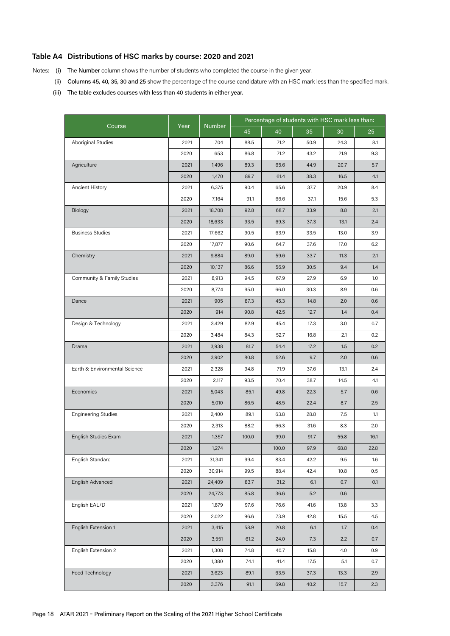### **Table A4 Distributions of HSC marks by course: 2020 and 2021**

Notes: (i) The Number column shows the number of students who completed the course in the given year.

- (ii) Columns 45, 40, 35, 30 and 25 show the percentage of the course candidature with an HSC mark less than the specified mark.
- (iii) The table excludes courses with less than 40 students in either year.

|                               |      |               | Percentage of students with HSC mark less than: |       |      |      |      |
|-------------------------------|------|---------------|-------------------------------------------------|-------|------|------|------|
| Course                        | Year | <b>Number</b> | 45                                              | 40    | 35   | 30   | 25   |
| <b>Aboriginal Studies</b>     | 2021 | 704           | 88.5                                            | 71.2  | 50.9 | 24.3 | 8.1  |
|                               | 2020 | 653           | 86.8                                            | 71.2  | 43.2 | 21.9 | 9.3  |
| Agriculture                   | 2021 | 1,496         | 89.3                                            | 65.6  | 44.9 | 20.7 | 5.7  |
|                               | 2020 | 1,470         | 89.7                                            | 61.4  | 38.3 | 16.5 | 4.1  |
| Ancient History               | 2021 | 6,375         | 90.4                                            | 65.6  | 37.7 | 20.9 | 8.4  |
|                               | 2020 | 7,164         | 91.1                                            | 66.6  | 37.1 | 15.6 | 5.3  |
| Biology                       | 2021 | 18,708        | 92.8                                            | 68.7  | 33.9 | 8.8  | 2.1  |
|                               | 2020 | 18,633        | 93.5                                            | 69.3  | 37.3 | 13.1 | 2.4  |
| <b>Business Studies</b>       | 2021 | 17,662        | 90.5                                            | 63.9  | 33.5 | 13.0 | 3.9  |
|                               | 2020 | 17,877        | 90.6                                            | 64.7  | 37.6 | 17.0 | 6.2  |
| Chemistry                     | 2021 | 9,884         | 89.0                                            | 59.6  | 33.7 | 11.3 | 2.1  |
|                               | 2020 | 10,137        | 86.6                                            | 56.9  | 30.5 | 9.4  | 1.4  |
| Community & Family Studies    | 2021 | 8,913         | 94.5                                            | 67.9  | 27.9 | 6.9  | 1.0  |
|                               | 2020 | 8,774         | 95.0                                            | 66.0  | 30.3 | 8.9  | 0.6  |
| Dance                         | 2021 | 905           | 87.3                                            | 45.3  | 14.8 | 2.0  | 0.6  |
|                               | 2020 | 914           | 90.8                                            | 42.5  | 12.7 | 1.4  | 0.4  |
| Design & Technology           | 2021 | 3,429         | 82.9                                            | 45.4  | 17.3 | 3.0  | 0.7  |
|                               | 2020 | 3,484         | 84.3                                            | 52.7  | 16.8 | 2.1  | 0.2  |
| Drama                         | 2021 | 3,938         | 81.7                                            | 54.4  | 17.2 | 1.5  | 0.2  |
|                               | 2020 | 3,902         | 80.8                                            | 52.6  | 9.7  | 2.0  | 0.6  |
| Earth & Environmental Science | 2021 | 2,328         | 94.8                                            | 71.9  | 37.6 | 13.1 | 2.4  |
|                               | 2020 | 2,117         | 93.5                                            | 70.4  | 38.7 | 14.5 | 4.1  |
| Economics                     | 2021 | 5,043         | 85.1                                            | 49.8  | 22.3 | 5.7  | 0.6  |
|                               | 2020 | 5,010         | 86.5                                            | 48.5  | 22.4 | 8.7  | 2.5  |
| <b>Engineering Studies</b>    | 2021 | 2,400         | 89.1                                            | 63.8  | 28.8 | 7.5  | 1.1  |
|                               | 2020 | 2,313         | 88.2                                            | 66.3  | 31.6 | 8.3  | 2.0  |
| English Studies Exam          | 2021 | 1,357         | 100.0                                           | 99.0  | 91.7 | 55.8 | 16.1 |
|                               | 2020 | 1,274         |                                                 | 100.0 | 97.9 | 68.8 | 22.8 |
| English Standard              | 2021 | 31,341        | 99.4                                            | 83.4  | 42.2 | 9.5  | 1.6  |
|                               | 2020 | 30,914        | 99.5                                            | 88.4  | 42.4 | 10.8 | 0.5  |
| English Advanced              | 2021 | 24,409        | 83.7                                            | 31.2  | 6.1  | 0.7  | 0.1  |
|                               | 2020 | 24,773        | 85.8                                            | 36.6  | 5.2  | 0.6  |      |
| English EAL/D                 | 2021 | 1,879         | 97.6                                            | 76.6  | 41.6 | 13.8 | 3.3  |
|                               | 2020 | 2,022         | 96.6                                            | 73.9  | 42.8 | 15.5 | 4.5  |
| English Extension 1           | 2021 | 3,415         | 58.9                                            | 20.8  | 6.1  | 1.7  | 0.4  |
|                               | 2020 | 3,551         | 61.2                                            | 24.0  | 7.3  | 2.2  | 0.7  |
| English Extension 2           | 2021 | 1,308         | 74.8                                            | 40.7  | 15.8 | 4.0  | 0.9  |
|                               | 2020 | 1,380         | 74.1                                            | 41.4  | 17.5 | 5.1  | 0.7  |
| Food Technology               | 2021 | 3,623         | 89.1                                            | 63.5  | 37.3 | 13.3 | 2.9  |
|                               | 2020 | 3,376         | 91.1                                            | 69.8  | 40.2 | 15.7 | 2.3  |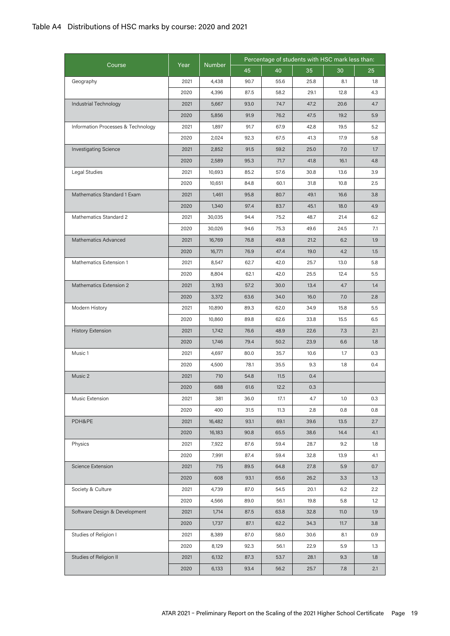|                                    |      |               | Percentage of students with HSC mark less than: |      |      |      |     |
|------------------------------------|------|---------------|-------------------------------------------------|------|------|------|-----|
| Course                             | Year | <b>Number</b> | 45                                              | 40   | 35   | 30   | 25  |
| Geography                          | 2021 | 4,438         | 90.7                                            | 55.6 | 25.8 | 8.1  | 1.8 |
|                                    | 2020 | 4,396         | 87.5                                            | 58.2 | 29.1 | 12.8 | 4.3 |
| Industrial Technology              | 2021 | 5,667         | 93.0                                            | 74.7 | 47.2 | 20.6 | 4.7 |
|                                    | 2020 | 5,856         | 91.9                                            | 76.2 | 47.5 | 19.2 | 5.9 |
| Information Processes & Technology | 2021 | 1,897         | 91.7                                            | 67.9 | 42.8 | 19.5 | 5.2 |
|                                    | 2020 | 2,024         | 92.3                                            | 67.5 | 41.3 | 17.9 | 5.8 |
| <b>Investigating Science</b>       | 2021 | 2,852         | 91.5                                            | 59.2 | 25.0 | 7.0  | 1.7 |
|                                    | 2020 | 2,589         | 95.3                                            | 71.7 | 41.8 | 16.1 | 4.8 |
| Legal Studies                      | 2021 | 10,693        | 85.2                                            | 57.6 | 30.8 | 13.6 | 3.9 |
|                                    | 2020 | 10,651        | 84.8                                            | 60.1 | 31.8 | 10.8 | 2.5 |
| Mathematics Standard 1 Exam        | 2021 | 1,461         | 95.8                                            | 80.7 | 49.1 | 16.6 | 3.8 |
|                                    | 2020 | 1,340         | 97.4                                            | 83.7 | 45.1 | 18.0 | 4.9 |
| Mathematics Standard 2             | 2021 | 30,035        | 94.4                                            | 75.2 | 48.7 | 21.4 | 6.2 |
|                                    | 2020 | 30,026        | 94.6                                            | 75.3 | 49.6 | 24.5 | 7.1 |
| <b>Mathematics Advanced</b>        | 2021 | 16,769        | 76.8                                            | 49.8 | 21.2 | 6.2  | 1.9 |
|                                    | 2020 | 16,771        | 76.9                                            | 47.4 | 19.0 | 4.2  | 1.5 |
| Mathematics Extension 1            | 2021 | 8,547         | 62.7                                            | 42.0 | 25.7 | 13.0 | 5.8 |
|                                    | 2020 | 8,804         | 62.1                                            | 42.0 | 25.5 | 12.4 | 5.5 |
| Mathematics Extension 2            | 2021 | 3,193         | 57.2                                            | 30.0 | 13.4 | 4.7  | 1.4 |
|                                    | 2020 | 3,372         | 63.6                                            | 34.0 | 16.0 | 7.0  | 2.8 |
| Modern History                     | 2021 | 10,890        | 89.3                                            | 62.0 | 34.9 | 15.8 | 5.5 |
|                                    | 2020 | 10,860        | 89.8                                            | 62.6 | 33.8 | 15.5 | 6.5 |
| <b>History Extension</b>           | 2021 | 1,742         | 76.6                                            | 48.9 | 22.6 | 7.3  | 2.1 |
|                                    | 2020 | 1,746         | 79.4                                            | 50.2 | 23.9 | 6.6  | 1.8 |
| Music 1                            | 2021 | 4,697         | 80.0                                            | 35.7 | 10.6 | 1.7  | 0.3 |
|                                    | 2020 | 4,500         | 78.1                                            | 35.5 | 9.3  | 1.8  | 0.4 |
| Music 2                            | 2021 | 710           | 54.8                                            | 11.5 | 0.4  |      |     |
|                                    | 2020 | 688           | 61.6                                            | 12.2 | 0.3  |      |     |
| Music Extension                    | 2021 | 381           | 36.0                                            | 17.1 | 4.7  | 1.0  | 0.3 |
|                                    | 2020 | 400           | 31.5                                            | 11.3 | 2.8  | 0.8  | 0.8 |
| PDH&PE                             | 2021 | 16,482        | 93.1                                            | 69.1 | 39.6 | 13.5 | 2.7 |
|                                    | 2020 | 16,183        | 90.8                                            | 65.5 | 38.6 | 14.4 | 4.1 |
| Physics                            | 2021 | 7,922         | 87.6                                            | 59.4 | 28.7 | 9.2  | 1.8 |
|                                    | 2020 | 7,991         | 87.4                                            | 59.4 | 32.8 | 13.9 | 4.1 |
| Science Extension                  | 2021 | 715           | 89.5                                            | 64.8 | 27.8 | 5.9  | 0.7 |
|                                    | 2020 | 608           | 93.1                                            | 65.6 | 26.2 | 3.3  | 1.3 |
| Society & Culture                  | 2021 | 4,739         | 87.0                                            | 54.5 | 20.1 | 6.2  | 2.2 |
|                                    | 2020 | 4,566         | 89.0                                            | 56.1 | 19.8 | 5.8  | 1.2 |
| Software Design & Development      | 2021 | 1,714         | 87.5                                            | 63.8 | 32.8 | 11.0 | 1.9 |
|                                    | 2020 | 1,737         | 87.1                                            | 62.2 | 34.3 | 11.7 | 3.8 |
| Studies of Religion I              | 2021 | 8,389         | 87.0                                            | 58.0 | 30.6 | 8.1  | 0.9 |
|                                    | 2020 | 8,129         | 92.3                                            | 56.1 | 22.9 | 5.9  | 1.3 |
| Studies of Religion II             | 2021 | 6,132         | 87.3                                            | 53.7 | 28.1 | 9.3  | 1.8 |
|                                    |      |               |                                                 |      |      |      |     |
|                                    | 2020 | 6,133         | 93.4                                            | 56.2 | 25.7 | 7.8  | 2.1 |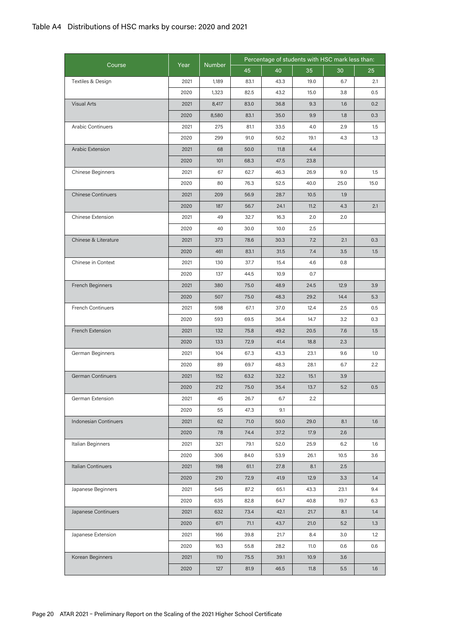|                           |      |               | Percentage of students with HSC mark less than: |      |      |      |      |  |
|---------------------------|------|---------------|-------------------------------------------------|------|------|------|------|--|
| Course                    | Year | <b>Number</b> | 45                                              | 40   | 35   | 30   | 25   |  |
| Textiles & Design         | 2021 | 1,189         | 83.1                                            | 43.3 | 19.0 | 6.7  | 2.1  |  |
|                           | 2020 | 1,323         | 82.5                                            | 43.2 | 15.0 | 3.8  | 0.5  |  |
| <b>Visual Arts</b>        | 2021 | 8,417         | 83.0                                            | 36.8 | 9.3  | 1.6  | 0.2  |  |
|                           | 2020 | 8,580         | 83.1                                            | 35.0 | 9.9  | 1.8  | 0.3  |  |
| <b>Arabic Continuers</b>  | 2021 | 275           | 81.1                                            | 33.5 | 4.0  | 2.9  | 1.5  |  |
|                           | 2020 | 299           | 91.0                                            | 50.2 | 19.1 | 4.3  | 1.3  |  |
| Arabic Extension          | 2021 | 68            | 50.0                                            | 11.8 | 4.4  |      |      |  |
|                           | 2020 | 101           | 68.3                                            | 47.5 | 23.8 |      |      |  |
| Chinese Beginners         | 2021 | 67            | 62.7                                            | 46.3 | 26.9 | 9.0  | 1.5  |  |
|                           | 2020 | 80            | 76.3                                            | 52.5 | 40.0 | 25.0 | 15.0 |  |
| <b>Chinese Continuers</b> | 2021 | 209           | 56.9                                            | 28.7 | 10.5 | 1.9  |      |  |
|                           | 2020 | 187           | 56.7                                            | 24.1 | 11.2 | 4.3  | 2.1  |  |
| Chinese Extension         | 2021 | 49            | 32.7                                            | 16.3 | 2.0  | 2.0  |      |  |
|                           | 2020 | 40            | 30.0                                            | 10.0 | 2.5  |      |      |  |
| Chinese & Literature      | 2021 | 373           | 78.6                                            | 30.3 | 7.2  | 2.1  | 0.3  |  |
|                           | 2020 | 461           | 83.1                                            | 31.5 | 7.4  | 3.5  | 1.5  |  |
| Chinese in Context        | 2021 | 130           | 37.7                                            | 15.4 | 4.6  | 0.8  |      |  |
|                           | 2020 | 137           | 44.5                                            | 10.9 | 0.7  |      |      |  |
| French Beginners          | 2021 | 380           | 75.0                                            | 48.9 | 24.5 | 12.9 | 3.9  |  |
|                           | 2020 | 507           | 75.0                                            | 48.3 | 29.2 | 14.4 | 5.3  |  |
| <b>French Continuers</b>  | 2021 | 598           | 67.1                                            | 37.0 | 12.4 | 2.5  | 0.5  |  |
|                           | 2020 | 593           | 69.5                                            | 36.4 | 14.7 | 3.2  | 0.3  |  |
| French Extension          | 2021 | 132           | 75.8                                            | 49.2 | 20.5 | 7.6  | 1.5  |  |
|                           | 2020 | 133           | 72.9                                            | 41.4 | 18.8 | 2.3  |      |  |
| German Beginners          | 2021 | 104           | 67.3                                            | 43.3 | 23.1 | 9.6  | 1.0  |  |
|                           | 2020 | 89            | 69.7                                            | 48.3 | 28.1 | 6.7  | 2.2  |  |
| <b>German Continuers</b>  | 2021 | 152           | 63.2                                            | 32.2 | 15.1 | 3.9  |      |  |
|                           | 2020 | 212           | 75.0                                            | 35.4 | 13.7 | 5.2  | 0.5  |  |
| German Extension          | 2021 | 45            | 26.7                                            | 6.7  | 2.2  |      |      |  |
|                           | 2020 | 55            | 47.3                                            | 9.1  |      |      |      |  |
| Indonesian Continuers     | 2021 | 62            | 71.0                                            | 50.0 | 29.0 | 8.1  | 1.6  |  |
|                           | 2020 | 78            | 74.4                                            | 37.2 | 17.9 | 2.6  |      |  |
| Italian Beginners         | 2021 | 321           | 79.1                                            | 52.0 | 25.9 | 6.2  | 1.6  |  |
|                           | 2020 | 306           | 84.0                                            | 53.9 | 26.1 | 10.5 | 3.6  |  |
| Italian Continuers        | 2021 | 198           | 61.1                                            | 27.8 | 8.1  | 2.5  |      |  |
|                           | 2020 | 210           | 72.9                                            | 41.9 | 12.9 | 3.3  | 1.4  |  |
| Japanese Beginners        | 2021 | 545           | 87.2                                            | 65.1 | 43.3 | 23.1 | 9.4  |  |
|                           | 2020 | 635           | 82.8                                            | 64.7 | 40.8 | 19.7 | 6.3  |  |
| Japanese Continuers       | 2021 | 632           | 73.4                                            | 42.1 | 21.7 | 8.1  | 1.4  |  |
|                           | 2020 | 671           | 71.1                                            | 43.7 | 21.0 | 5.2  | 1.3  |  |
| Japanese Extension        | 2021 | 166           | 39.8                                            | 21.7 | 8.4  | 3.0  | 1.2  |  |
|                           | 2020 | 163           | 55.8                                            | 28.2 | 11.0 | 0.6  | 0.6  |  |
| Korean Beginners          | 2021 | 110           | 75.5                                            | 39.1 | 10.9 | 3.6  |      |  |
|                           | 2020 | 127           | 81.9                                            | 46.5 | 11.8 | 5.5  | 1.6  |  |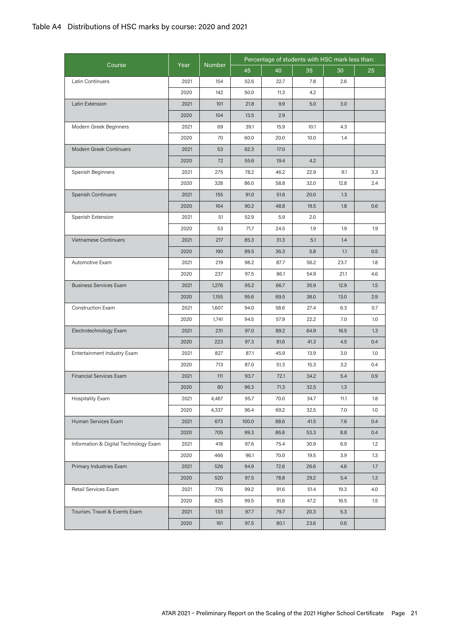|                                       |      |               | Percentage of students with HSC mark less than: |      |      |      |     |
|---------------------------------------|------|---------------|-------------------------------------------------|------|------|------|-----|
| Course                                | Year | <b>Number</b> | 45                                              | 40   | 35   | 30   | 25  |
| Latin Continuers                      | 2021 | 154           | 52.6                                            | 22.7 | 7.8  | 2.6  |     |
|                                       | 2020 | 142           | 50.0                                            | 11.3 | 4.2  |      |     |
| Latin Extension                       | 2021 | 101           | 21.8                                            | 9.9  | 5.0  | 3.0  |     |
|                                       | 2020 | 104           | 13.5                                            | 2.9  |      |      |     |
| Modern Greek Beginners                | 2021 | 69            | 39.1                                            | 15.9 | 10.1 | 4.3  |     |
|                                       | 2020 | 70            | 60.0                                            | 20.0 | 10.0 | 1.4  |     |
| Modern Greek Continuers               | 2021 | 53            | 62.3                                            | 17.0 |      |      |     |
|                                       | 2020 | 72            | 55.6                                            | 19.4 | 4.2  |      |     |
| Spanish Beginners                     | 2021 | 275           | 78.2                                            | 46.2 | 22.9 | 9.1  | 3.3 |
|                                       | 2020 | 328           | 86.0                                            | 58.8 | 32.0 | 12.8 | 2.4 |
| Spanish Continuers                    | 2021 | 155           | 91.0                                            | 51.6 | 20.0 | 1.3  |     |
|                                       | 2020 | 164           | 90.2                                            | 48.8 | 19.5 | 1.8  | 0.6 |
| Spanish Extension                     | 2021 | 51            | 52.9                                            | 5.9  | 2.0  |      |     |
|                                       | 2020 | 53            | 71.7                                            | 24.5 | 1.9  | 1.9  | 1.9 |
| Vietnamese Continuers                 | 2021 | 217           | 85.3                                            | 31.3 | 5.1  | 1.4  |     |
|                                       | 2020 | 190           | 89.5                                            | 36.3 | 5.8  | 1.1  | 0.5 |
| Automotive Exam                       | 2021 | 219           | 98.2                                            | 87.7 | 56.2 | 23.7 | 1.8 |
|                                       | 2020 | 237           | 97.5                                            | 86.1 | 54.9 | 21.1 | 4.6 |
| <b>Business Services Exam</b>         | 2021 | 1,276         | 95.2                                            | 66.7 | 35.9 | 12.9 | 1.5 |
|                                       | 2020 | 1,155         | 95.6                                            | 69.5 | 38.0 | 13.0 | 2.9 |
| <b>Construction Exam</b>              | 2021 | 1,607         | 94.0                                            | 58.6 | 27.4 | 6.3  | 0.7 |
|                                       | 2020 | 1,741         | 94.5                                            | 57.9 | 22.2 | 7.0  | 1.0 |
| Electrotechnology Exam                | 2021 | 231           | 97.0                                            | 89.2 | 64.9 | 16.5 | 1.3 |
|                                       | 2020 | 223           | 97.3                                            | 81.6 | 41.3 | 4.5  | 0.4 |
| Entertainment Industry Exam           | 2021 | 827           | 87.1                                            | 45.9 | 13.9 | 3.0  | 1.0 |
|                                       | 2020 | 713           | 87.0                                            | 51.3 | 15.3 | 3.2  | 0.4 |
| <b>Financial Services Exam</b>        | 2021 | 111           | 93.7                                            | 72.1 | 34.2 | 5.4  | 0.9 |
|                                       | 2020 | 80            | 96.3                                            | 71.3 | 32.5 | 1.3  |     |
| Hospitality Exam                      | 2021 | 4,467         | 95.7                                            | 70.0 | 34.7 | 11.1 | 1.8 |
|                                       | 2020 | 4,337         | 96.4                                            | 69.2 | 32.5 | 7.0  | 1.0 |
| Human Services Exam                   | 2021 | 673           | 100.0                                           | 88.6 | 41.5 | 7.6  | 0.4 |
|                                       | 2020 | 705           | 99.3                                            | 86.8 | 53.3 | 8.8  | 0.4 |
| Information & Digital Technology Exam | 2021 | 418           | 97.6                                            | 75.4 | 30.9 | 6.9  | 1.2 |
|                                       | 2020 | 466           | 96.1                                            | 70.0 | 19.5 | 3.9  | 1.3 |
| Primary Industries Exam               | 2021 | 526           | 94.9                                            | 72.6 | 26.6 | 4.6  | 1.7 |
|                                       | 2020 | 520           | 97.5                                            | 78.8 | 29.2 | 5.4  | 1.3 |
| Retail Services Exam                  | 2021 | 776           | 99.2                                            | 91.6 | 51.4 | 19.3 | 4.0 |
|                                       | 2020 | 825           | 99.5                                            | 91.6 | 47.2 | 16.5 | 1.5 |
| Tourism, Travel & Events Exam         | 2021 | 133           | 97.7                                            | 79.7 | 20.3 | 5.3  |     |
|                                       | 2020 | 161           | 97.5                                            | 80.1 | 23.6 | 0.6  |     |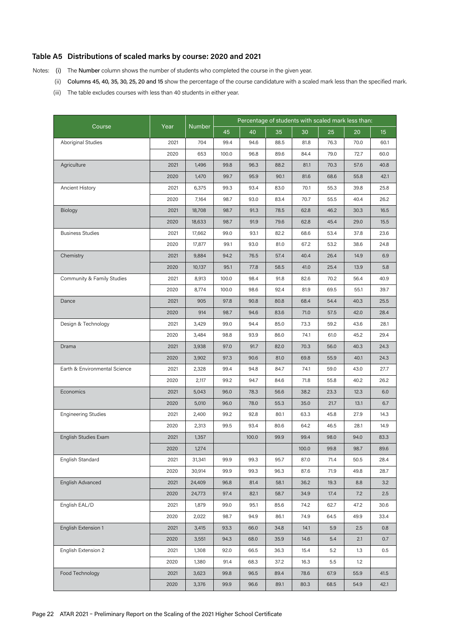### **Table A5 Distributions of scaled marks by course: 2020 and 2021**

Notes: (i) The Number column shows the number of students who completed the course in the given year.

- (ii) Columns 45, 40, 35, 30, 25, 20 and 15 show the percentage of the course candidature with a scaled mark less than the specified mark.
- (iii) The table excludes courses with less than 40 students in either year.

|                               |      |               |       | Percentage of students with scaled mark less than: |      |       |      |      |                  |
|-------------------------------|------|---------------|-------|----------------------------------------------------|------|-------|------|------|------------------|
| Course                        | Year | <b>Number</b> | 45    | 40                                                 | 35   | 30    | 25   | 20   | 15 <sub>15</sub> |
| <b>Aboriginal Studies</b>     | 2021 | 704           | 99.4  | 94.6                                               | 88.5 | 81.8  | 76.3 | 70.0 | 60.1             |
|                               | 2020 | 653           | 100.0 | 96.8                                               | 89.6 | 84.4  | 79.0 | 72.7 | 60.0             |
| Agriculture                   | 2021 | 1,496         | 99.8  | 96.3                                               | 88.2 | 81.1  | 70.3 | 57.6 | 40.8             |
|                               | 2020 | 1,470         | 99.7  | 95.9                                               | 90.1 | 81.6  | 68.6 | 55.8 | 42.1             |
| Ancient History               | 2021 | 6,375         | 99.3  | 93.4                                               | 83.0 | 70.1  | 55.3 | 39.8 | 25.8             |
|                               | 2020 | 7,164         | 98.7  | 93.0                                               | 83.4 | 70.7  | 55.5 | 40.4 | 26.2             |
| Biology                       | 2021 | 18,708        | 98.7  | 91.3                                               | 78.5 | 62.8  | 46.2 | 30.3 | 16.5             |
|                               | 2020 | 18,633        | 98.7  | 91.9                                               | 79.6 | 62.8  | 45.4 | 29.0 | 15.5             |
| <b>Business Studies</b>       | 2021 | 17,662        | 99.0  | 93.1                                               | 82.2 | 68.6  | 53.4 | 37.8 | 23.6             |
|                               | 2020 | 17,877        | 99.1  | 93.0                                               | 81.0 | 67.2  | 53.2 | 38.6 | 24.8             |
| Chemistry                     | 2021 | 9,884         | 94.2  | 76.5                                               | 57.4 | 40.4  | 26.4 | 14.9 | 6.9              |
|                               | 2020 | 10,137        | 95.1  | 77.8                                               | 58.5 | 41.0  | 25.4 | 13.9 | 5.8              |
| Community & Family Studies    | 2021 | 8,913         | 100.0 | 98.4                                               | 91.8 | 82.6  | 70.2 | 56.4 | 40.9             |
|                               | 2020 | 8,774         | 100.0 | 98.6                                               | 92.4 | 81.9  | 69.5 | 55.1 | 39.7             |
| Dance                         | 2021 | 905           | 97.8  | 90.8                                               | 80.8 | 68.4  | 54.4 | 40.3 | 25.5             |
|                               | 2020 | 914           | 98.7  | 94.6                                               | 83.6 | 71.0  | 57.5 | 42.0 | 28.4             |
| Design & Technology           | 2021 | 3,429         | 99.0  | 94.4                                               | 85.0 | 73.3  | 59.2 | 43.6 | 28.1             |
|                               | 2020 | 3,484         | 98.8  | 93.9                                               | 86.0 | 74.1  | 61.0 | 45.2 | 29.4             |
| Drama                         | 2021 | 3,938         | 97.0  | 91.7                                               | 82.0 | 70.3  | 56.0 | 40.3 | 24.3             |
|                               | 2020 | 3,902         | 97.3  | 90.6                                               | 81.0 | 69.8  | 55.9 | 40.1 | 24.3             |
| Earth & Environmental Science | 2021 | 2,328         | 99.4  | 94.8                                               | 84.7 | 74.1  | 59.0 | 43.0 | 27.7             |
|                               | 2020 | 2,117         | 99.2  | 94.7                                               | 84.6 | 71.8  | 55.8 | 40.2 | 26.2             |
| Economics                     | 2021 | 5,043         | 96.0  | 78.3                                               | 56.6 | 38.2  | 23.3 | 12.3 | 6.0              |
|                               | 2020 | 5,010         | 96.0  | 78.0                                               | 55.3 | 35.0  | 21.7 | 13.1 | 6.7              |
| <b>Engineering Studies</b>    | 2021 | 2,400         | 99.2  | 92.8                                               | 80.1 | 63.3  | 45.8 | 27.9 | 14.3             |
|                               | 2020 | 2,313         | 99.5  | 93.4                                               | 80.6 | 64.2  | 46.5 | 28.1 | 14.9             |
| English Studies Exam          | 2021 | 1,357         |       | 100.0                                              | 99.9 | 99.4  | 98.0 | 94.0 | 83.3             |
|                               | 2020 | 1,274         |       |                                                    |      | 100.0 | 99.8 | 98.7 | 89.6             |
| English Standard              | 2021 | 31,341        | 99.9  | 99.3                                               | 95.7 | 87.0  | 71.4 | 50.5 | 28.4             |
|                               | 2020 | 30,914        | 99.9  | 99.3                                               | 96.3 | 87.6  | 71.9 | 49.8 | 28.7             |
| English Advanced              | 2021 | 24,409        | 96.8  | 81.4                                               | 58.1 | 36.2  | 19.3 | 8.8  | 3.2              |
|                               | 2020 | 24,773        | 97.4  | 82.1                                               | 58.7 | 34.9  | 17.4 | 7.2  | 2.5              |
| English EAL/D                 | 2021 | 1,879         | 99.0  | 95.1                                               | 85.6 | 74.2  | 62.7 | 47.2 | 30.6             |
|                               | 2020 | 2,022         | 98.7  | 94.9                                               | 86.1 | 74.9  | 64.5 | 49.9 | 33.4             |
| English Extension 1           | 2021 | 3,415         | 93.3  | 66.0                                               | 34.8 | 14.1  | 5.9  | 2.5  | 0.8              |
|                               | 2020 | 3,551         | 94.3  | 68.0                                               | 35.9 | 14.6  | 5.4  | 2.1  | 0.7              |
| English Extension 2           | 2021 | 1,308         | 92.0  | 66.5                                               | 36.3 | 15.4  | 5.2  | 1.3  | 0.5              |
|                               | 2020 | 1,380         | 91.4  | 68.3                                               | 37.2 | 16.3  | 5.5  | 1.2  |                  |
| Food Technology               | 2021 | 3,623         | 99.8  | 96.5                                               | 89.4 | 78.6  | 67.9 | 55.9 | 41.5             |
|                               | 2020 | 3,376         | 99.9  | 96.6                                               | 89.1 | 80.3  | 68.5 | 54.9 | 42.1             |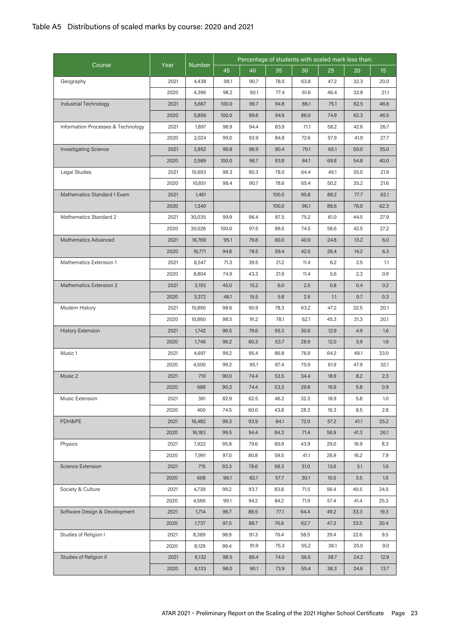| Course<br>Year<br><b>Number</b><br>45<br>40<br>30<br>25<br>35<br>20<br>15<br>Geography<br>2021<br>4,438<br>98.1<br>90.7<br>78.5<br>63.8<br>47.2<br>32.3<br>20.0<br>2020<br>4,396<br>98.2<br>90.1<br>77.4<br>61.6<br>46.4<br>32.8<br>21.1<br>Industrial Technology<br>2021<br>100.0<br>99.7<br>94.8<br>86.1<br>62.5<br>5,667<br>75.1<br>46.6<br>2020<br>100.0<br>99.6<br>94.9<br>62.3<br>5,856<br>86.0<br>74.9<br>46.5<br>Information Processes & Technology<br>2021<br>1,897<br>98.9<br>83.9<br>94.4<br>71.1<br>58.2<br>42.6<br>26.7<br>2020<br>99.0<br>93.9<br>84.8<br>72.6<br>57.9<br>41.9<br>27.7<br>2,024<br><b>Investigating Science</b><br>2021<br>99.8<br>96.9<br>90.4<br>79.1<br>50.0<br>2,852<br>65.1<br>35.0<br>2020<br>98.7<br>93.8<br>84.1<br>40.0<br>2,589<br>100.0<br>69.8<br>54.8<br>Legal Studies<br>2021<br>98.3<br>78.0<br>10,693<br>90.3<br>64.4<br>49.1<br>35.0<br>21.9<br>2020<br>98.4<br>90.7<br>78.6<br>50.2<br>35.2<br>10,651<br>65.4<br>21.6<br>Mathematics Standard 1 Exam<br>2021<br>100.0<br>95.8<br>88.2<br>77.7<br>1,461<br>62.1<br>2020<br>100.0<br>96.1<br>1,340<br>88.6<br>76.0<br>62.3<br>Mathematics Standard 2<br>99.9<br>2021<br>30,035<br>96.4<br>87.5<br>75.2<br>61.0<br>44.5<br>27.9<br>2020<br>30,026<br>100.0<br>97.5<br>88.5<br>74.5<br>58.6<br>42.5<br>27.2<br><b>Mathematics Advanced</b><br>2021<br>95.1<br>79.6<br>60.0<br>40.9<br>13.2<br>16,769<br>24.8<br>6.0<br>2020<br>94.6<br>59.4<br>42.0<br>16,771<br>78.5<br>26.4<br>14.2<br>6.3<br>Mathematics Extension 1<br>2021<br>8,547<br>71.3<br>39.5<br>21.2<br>11.4<br>6.2<br>2.5<br>1.1<br>2020<br>74.9<br>43.3<br>21.9<br>5.6<br>2.3<br>0.9<br>8,804<br>11.4<br>Mathematics Extension 2<br>2021<br>6.0<br>2.5<br>0.8<br>0.4<br>3,193<br>45.0<br>15.2<br>0.2<br>2020<br>5.8<br>2.5<br>0.3<br>3,372<br>48.1<br>15.5<br>1.1<br>0.7<br>Modern History<br>2021<br>10,890<br>98.6<br>90.9<br>78.3<br>63.2<br>47.2<br>32.5<br>20.1 |
|--------------------------------------------------------------------------------------------------------------------------------------------------------------------------------------------------------------------------------------------------------------------------------------------------------------------------------------------------------------------------------------------------------------------------------------------------------------------------------------------------------------------------------------------------------------------------------------------------------------------------------------------------------------------------------------------------------------------------------------------------------------------------------------------------------------------------------------------------------------------------------------------------------------------------------------------------------------------------------------------------------------------------------------------------------------------------------------------------------------------------------------------------------------------------------------------------------------------------------------------------------------------------------------------------------------------------------------------------------------------------------------------------------------------------------------------------------------------------------------------------------------------------------------------------------------------------------------------------------------------------------------------------------------------------------------------------------------------------------------------------------------------------------------------------------------------------------------------------------------------------------------------------------------------------------|
|                                                                                                                                                                                                                                                                                                                                                                                                                                                                                                                                                                                                                                                                                                                                                                                                                                                                                                                                                                                                                                                                                                                                                                                                                                                                                                                                                                                                                                                                                                                                                                                                                                                                                                                                                                                                                                                                                                                                |
|                                                                                                                                                                                                                                                                                                                                                                                                                                                                                                                                                                                                                                                                                                                                                                                                                                                                                                                                                                                                                                                                                                                                                                                                                                                                                                                                                                                                                                                                                                                                                                                                                                                                                                                                                                                                                                                                                                                                |
|                                                                                                                                                                                                                                                                                                                                                                                                                                                                                                                                                                                                                                                                                                                                                                                                                                                                                                                                                                                                                                                                                                                                                                                                                                                                                                                                                                                                                                                                                                                                                                                                                                                                                                                                                                                                                                                                                                                                |
|                                                                                                                                                                                                                                                                                                                                                                                                                                                                                                                                                                                                                                                                                                                                                                                                                                                                                                                                                                                                                                                                                                                                                                                                                                                                                                                                                                                                                                                                                                                                                                                                                                                                                                                                                                                                                                                                                                                                |
|                                                                                                                                                                                                                                                                                                                                                                                                                                                                                                                                                                                                                                                                                                                                                                                                                                                                                                                                                                                                                                                                                                                                                                                                                                                                                                                                                                                                                                                                                                                                                                                                                                                                                                                                                                                                                                                                                                                                |
|                                                                                                                                                                                                                                                                                                                                                                                                                                                                                                                                                                                                                                                                                                                                                                                                                                                                                                                                                                                                                                                                                                                                                                                                                                                                                                                                                                                                                                                                                                                                                                                                                                                                                                                                                                                                                                                                                                                                |
|                                                                                                                                                                                                                                                                                                                                                                                                                                                                                                                                                                                                                                                                                                                                                                                                                                                                                                                                                                                                                                                                                                                                                                                                                                                                                                                                                                                                                                                                                                                                                                                                                                                                                                                                                                                                                                                                                                                                |
|                                                                                                                                                                                                                                                                                                                                                                                                                                                                                                                                                                                                                                                                                                                                                                                                                                                                                                                                                                                                                                                                                                                                                                                                                                                                                                                                                                                                                                                                                                                                                                                                                                                                                                                                                                                                                                                                                                                                |
|                                                                                                                                                                                                                                                                                                                                                                                                                                                                                                                                                                                                                                                                                                                                                                                                                                                                                                                                                                                                                                                                                                                                                                                                                                                                                                                                                                                                                                                                                                                                                                                                                                                                                                                                                                                                                                                                                                                                |
|                                                                                                                                                                                                                                                                                                                                                                                                                                                                                                                                                                                                                                                                                                                                                                                                                                                                                                                                                                                                                                                                                                                                                                                                                                                                                                                                                                                                                                                                                                                                                                                                                                                                                                                                                                                                                                                                                                                                |
|                                                                                                                                                                                                                                                                                                                                                                                                                                                                                                                                                                                                                                                                                                                                                                                                                                                                                                                                                                                                                                                                                                                                                                                                                                                                                                                                                                                                                                                                                                                                                                                                                                                                                                                                                                                                                                                                                                                                |
|                                                                                                                                                                                                                                                                                                                                                                                                                                                                                                                                                                                                                                                                                                                                                                                                                                                                                                                                                                                                                                                                                                                                                                                                                                                                                                                                                                                                                                                                                                                                                                                                                                                                                                                                                                                                                                                                                                                                |
|                                                                                                                                                                                                                                                                                                                                                                                                                                                                                                                                                                                                                                                                                                                                                                                                                                                                                                                                                                                                                                                                                                                                                                                                                                                                                                                                                                                                                                                                                                                                                                                                                                                                                                                                                                                                                                                                                                                                |
|                                                                                                                                                                                                                                                                                                                                                                                                                                                                                                                                                                                                                                                                                                                                                                                                                                                                                                                                                                                                                                                                                                                                                                                                                                                                                                                                                                                                                                                                                                                                                                                                                                                                                                                                                                                                                                                                                                                                |
|                                                                                                                                                                                                                                                                                                                                                                                                                                                                                                                                                                                                                                                                                                                                                                                                                                                                                                                                                                                                                                                                                                                                                                                                                                                                                                                                                                                                                                                                                                                                                                                                                                                                                                                                                                                                                                                                                                                                |
|                                                                                                                                                                                                                                                                                                                                                                                                                                                                                                                                                                                                                                                                                                                                                                                                                                                                                                                                                                                                                                                                                                                                                                                                                                                                                                                                                                                                                                                                                                                                                                                                                                                                                                                                                                                                                                                                                                                                |
|                                                                                                                                                                                                                                                                                                                                                                                                                                                                                                                                                                                                                                                                                                                                                                                                                                                                                                                                                                                                                                                                                                                                                                                                                                                                                                                                                                                                                                                                                                                                                                                                                                                                                                                                                                                                                                                                                                                                |
|                                                                                                                                                                                                                                                                                                                                                                                                                                                                                                                                                                                                                                                                                                                                                                                                                                                                                                                                                                                                                                                                                                                                                                                                                                                                                                                                                                                                                                                                                                                                                                                                                                                                                                                                                                                                                                                                                                                                |
|                                                                                                                                                                                                                                                                                                                                                                                                                                                                                                                                                                                                                                                                                                                                                                                                                                                                                                                                                                                                                                                                                                                                                                                                                                                                                                                                                                                                                                                                                                                                                                                                                                                                                                                                                                                                                                                                                                                                |
|                                                                                                                                                                                                                                                                                                                                                                                                                                                                                                                                                                                                                                                                                                                                                                                                                                                                                                                                                                                                                                                                                                                                                                                                                                                                                                                                                                                                                                                                                                                                                                                                                                                                                                                                                                                                                                                                                                                                |
|                                                                                                                                                                                                                                                                                                                                                                                                                                                                                                                                                                                                                                                                                                                                                                                                                                                                                                                                                                                                                                                                                                                                                                                                                                                                                                                                                                                                                                                                                                                                                                                                                                                                                                                                                                                                                                                                                                                                |
|                                                                                                                                                                                                                                                                                                                                                                                                                                                                                                                                                                                                                                                                                                                                                                                                                                                                                                                                                                                                                                                                                                                                                                                                                                                                                                                                                                                                                                                                                                                                                                                                                                                                                                                                                                                                                                                                                                                                |
| 2020<br>10,860<br>98.5<br>91.2<br>78.1<br>62.1<br>20.1<br>45.3<br>31.3                                                                                                                                                                                                                                                                                                                                                                                                                                                                                                                                                                                                                                                                                                                                                                                                                                                                                                                                                                                                                                                                                                                                                                                                                                                                                                                                                                                                                                                                                                                                                                                                                                                                                                                                                                                                                                                         |
| <b>History Extension</b><br>2021<br>79.6<br>55.3<br>12.9<br>1,742<br>96.5<br>30.6<br>4.9<br>1.6                                                                                                                                                                                                                                                                                                                                                                                                                                                                                                                                                                                                                                                                                                                                                                                                                                                                                                                                                                                                                                                                                                                                                                                                                                                                                                                                                                                                                                                                                                                                                                                                                                                                                                                                                                                                                                |
| 2020<br>80.3<br>12.0<br>1,746<br>96.2<br>53.7<br>28.9<br>3.9<br>1.6                                                                                                                                                                                                                                                                                                                                                                                                                                                                                                                                                                                                                                                                                                                                                                                                                                                                                                                                                                                                                                                                                                                                                                                                                                                                                                                                                                                                                                                                                                                                                                                                                                                                                                                                                                                                                                                            |
| Music 1<br>2021<br>4,697<br>99.2<br>95.4<br>86.8<br>76.9<br>64.2<br>49.1<br>33.0                                                                                                                                                                                                                                                                                                                                                                                                                                                                                                                                                                                                                                                                                                                                                                                                                                                                                                                                                                                                                                                                                                                                                                                                                                                                                                                                                                                                                                                                                                                                                                                                                                                                                                                                                                                                                                               |
| 2020<br>99.2<br>95.1<br>87.4<br>75.9<br>61.9<br>47.9<br>32.1<br>4,500                                                                                                                                                                                                                                                                                                                                                                                                                                                                                                                                                                                                                                                                                                                                                                                                                                                                                                                                                                                                                                                                                                                                                                                                                                                                                                                                                                                                                                                                                                                                                                                                                                                                                                                                                                                                                                                          |
| Music 2<br>2021<br>90.0<br>74.4<br>53.5<br>8.2<br>710<br>34.4<br>18.9<br>2.3                                                                                                                                                                                                                                                                                                                                                                                                                                                                                                                                                                                                                                                                                                                                                                                                                                                                                                                                                                                                                                                                                                                                                                                                                                                                                                                                                                                                                                                                                                                                                                                                                                                                                                                                                                                                                                                   |
| 2020<br>688<br>90.3<br>74.4<br>53.3<br>29.8<br>16.9<br>5.8<br>0.9                                                                                                                                                                                                                                                                                                                                                                                                                                                                                                                                                                                                                                                                                                                                                                                                                                                                                                                                                                                                                                                                                                                                                                                                                                                                                                                                                                                                                                                                                                                                                                                                                                                                                                                                                                                                                                                              |
| Music Extension<br>2021<br>381<br>82.9<br>62.5<br>46.2<br>32.3<br>18.9<br>5.8<br>1.0                                                                                                                                                                                                                                                                                                                                                                                                                                                                                                                                                                                                                                                                                                                                                                                                                                                                                                                                                                                                                                                                                                                                                                                                                                                                                                                                                                                                                                                                                                                                                                                                                                                                                                                                                                                                                                           |
| 2020<br>400<br>74.5<br>60.0<br>43.8<br>28.3<br>16.3<br>8.5<br>2.8                                                                                                                                                                                                                                                                                                                                                                                                                                                                                                                                                                                                                                                                                                                                                                                                                                                                                                                                                                                                                                                                                                                                                                                                                                                                                                                                                                                                                                                                                                                                                                                                                                                                                                                                                                                                                                                              |
| PDH&PE<br>2021<br>16,482<br>99.3<br>93.9<br>84.1<br>72.0<br>25.2<br>57.2<br>41.1                                                                                                                                                                                                                                                                                                                                                                                                                                                                                                                                                                                                                                                                                                                                                                                                                                                                                                                                                                                                                                                                                                                                                                                                                                                                                                                                                                                                                                                                                                                                                                                                                                                                                                                                                                                                                                               |
| 2020<br>99.5<br>94.4<br>84.3<br>71.4<br>26.1<br>16,183<br>56.9<br>41.3                                                                                                                                                                                                                                                                                                                                                                                                                                                                                                                                                                                                                                                                                                                                                                                                                                                                                                                                                                                                                                                                                                                                                                                                                                                                                                                                                                                                                                                                                                                                                                                                                                                                                                                                                                                                                                                         |
| Physics<br>2021<br>7,922<br>79.6<br>60.9<br>95.8<br>43.9<br>29.0<br>16.9<br>8.3                                                                                                                                                                                                                                                                                                                                                                                                                                                                                                                                                                                                                                                                                                                                                                                                                                                                                                                                                                                                                                                                                                                                                                                                                                                                                                                                                                                                                                                                                                                                                                                                                                                                                                                                                                                                                                                |
| 2020<br>7,991<br>97.0<br>80.8<br>59.5<br>7.9<br>41.1<br>26.9<br>16.2                                                                                                                                                                                                                                                                                                                                                                                                                                                                                                                                                                                                                                                                                                                                                                                                                                                                                                                                                                                                                                                                                                                                                                                                                                                                                                                                                                                                                                                                                                                                                                                                                                                                                                                                                                                                                                                           |
| Science Extension<br>2021<br>715<br>93.3<br>58.3<br>1.0<br>78.6<br>31.0<br>13.6<br>3.1                                                                                                                                                                                                                                                                                                                                                                                                                                                                                                                                                                                                                                                                                                                                                                                                                                                                                                                                                                                                                                                                                                                                                                                                                                                                                                                                                                                                                                                                                                                                                                                                                                                                                                                                                                                                                                         |
| 2020<br>608<br>96.1<br>82.1<br>57.7<br>30.1<br>10.5<br>3.5<br>1.5                                                                                                                                                                                                                                                                                                                                                                                                                                                                                                                                                                                                                                                                                                                                                                                                                                                                                                                                                                                                                                                                                                                                                                                                                                                                                                                                                                                                                                                                                                                                                                                                                                                                                                                                                                                                                                                              |
| Society & Culture<br>2021<br>4,739<br>99.2<br>93.7<br>83.8<br>40.5<br>71.5<br>56.4<br>24.5                                                                                                                                                                                                                                                                                                                                                                                                                                                                                                                                                                                                                                                                                                                                                                                                                                                                                                                                                                                                                                                                                                                                                                                                                                                                                                                                                                                                                                                                                                                                                                                                                                                                                                                                                                                                                                     |
| 2020<br>99.1<br>94.2<br>84.2<br>71.9<br>41.4<br>4,566<br>57.4<br>25.3                                                                                                                                                                                                                                                                                                                                                                                                                                                                                                                                                                                                                                                                                                                                                                                                                                                                                                                                                                                                                                                                                                                                                                                                                                                                                                                                                                                                                                                                                                                                                                                                                                                                                                                                                                                                                                                          |
| Software Design & Development<br>2021<br>96.7<br>88.5<br>77.1<br>19.3<br>1,714<br>64.4<br>49.2<br>33.3                                                                                                                                                                                                                                                                                                                                                                                                                                                                                                                                                                                                                                                                                                                                                                                                                                                                                                                                                                                                                                                                                                                                                                                                                                                                                                                                                                                                                                                                                                                                                                                                                                                                                                                                                                                                                         |
| 2020<br>97.5<br>88.7<br>76.6<br>62.7<br>47.3<br>33.5<br>20.4<br>1,737                                                                                                                                                                                                                                                                                                                                                                                                                                                                                                                                                                                                                                                                                                                                                                                                                                                                                                                                                                                                                                                                                                                                                                                                                                                                                                                                                                                                                                                                                                                                                                                                                                                                                                                                                                                                                                                          |
| Studies of Religion I<br>2021<br>8,389<br>98.9<br>91.3<br>76.4<br>22.6<br>9.5<br>58.5<br>39.4                                                                                                                                                                                                                                                                                                                                                                                                                                                                                                                                                                                                                                                                                                                                                                                                                                                                                                                                                                                                                                                                                                                                                                                                                                                                                                                                                                                                                                                                                                                                                                                                                                                                                                                                                                                                                                  |
| 2020<br>99.4<br>91.9<br>75.3<br>20.0<br>9.0<br>8,129<br>55.2<br>36.1                                                                                                                                                                                                                                                                                                                                                                                                                                                                                                                                                                                                                                                                                                                                                                                                                                                                                                                                                                                                                                                                                                                                                                                                                                                                                                                                                                                                                                                                                                                                                                                                                                                                                                                                                                                                                                                           |
| Studies of Religion II<br>2021<br>98.5<br>89.4<br>74.0<br>38.7<br>12.9<br>6,132<br>56.5<br>24.2                                                                                                                                                                                                                                                                                                                                                                                                                                                                                                                                                                                                                                                                                                                                                                                                                                                                                                                                                                                                                                                                                                                                                                                                                                                                                                                                                                                                                                                                                                                                                                                                                                                                                                                                                                                                                                |
| 2020<br>6,133<br>98.0<br>90.1<br>73.9<br>55.4<br>38.3<br>24.6<br>13.7                                                                                                                                                                                                                                                                                                                                                                                                                                                                                                                                                                                                                                                                                                                                                                                                                                                                                                                                                                                                                                                                                                                                                                                                                                                                                                                                                                                                                                                                                                                                                                                                                                                                                                                                                                                                                                                          |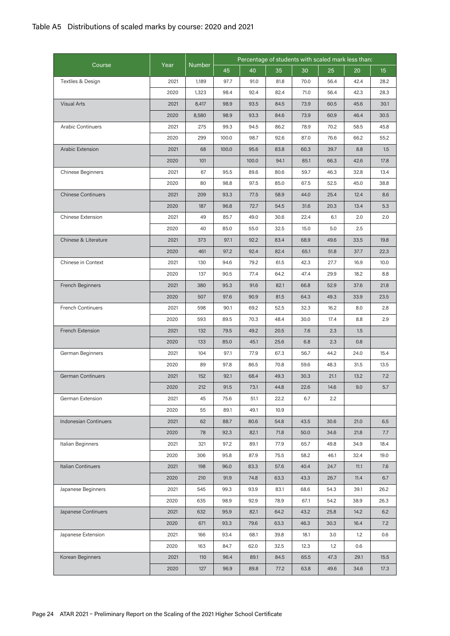|                           |      |               | Percentage of students with scaled mark less than: |       |      |      |      |      |      |  |
|---------------------------|------|---------------|----------------------------------------------------|-------|------|------|------|------|------|--|
| Course                    | Year | <b>Number</b> | 45                                                 | 40    | 35   | 20   | 15   |      |      |  |
| Textiles & Design         | 2021 | 1,189         | 97.7                                               | 91.0  | 81.8 | 70.0 | 56.4 | 42.4 | 28.2 |  |
|                           | 2020 | 1,323         | 98.4                                               | 92.4  | 82.4 | 71.0 | 56.4 | 42.3 | 28.3 |  |
| Visual Arts               | 2021 | 8,417         | 98.9                                               | 93.5  | 84.5 | 73.9 | 60.5 | 45.6 | 30.1 |  |
|                           | 2020 | 8,580         | 98.9                                               | 93.3  | 84.6 | 73.9 | 60.9 | 46.4 | 30.5 |  |
| <b>Arabic Continuers</b>  | 2021 | 275           | 99.3                                               | 94.5  | 86.2 | 78.9 | 70.2 | 58.5 | 45.8 |  |
|                           | 2020 | 299           | 100.0                                              | 98.7  | 92.6 | 87.0 | 76.6 | 66.2 | 55.2 |  |
| Arabic Extension          | 2021 | 68            | 100.0                                              | 95.6  | 83.8 | 60.3 | 39.7 | 8.8  | 1.5  |  |
|                           | 2020 | 101           |                                                    | 100.0 | 94.1 | 85.1 | 66.3 | 42.6 | 17.8 |  |
| Chinese Beginners         | 2021 | 67            | 95.5                                               | 89.6  | 80.6 | 59.7 | 46.3 | 32.8 | 13.4 |  |
|                           | 2020 | 80            | 98.8                                               | 97.5  | 85.0 | 67.5 | 52.5 | 45.0 | 38.8 |  |
| <b>Chinese Continuers</b> | 2021 | 209           | 93.3                                               | 77.5  | 58.9 | 44.0 | 25.4 | 12.4 | 8.6  |  |
|                           | 2020 | 187           | 96.8                                               | 72.7  | 54.5 | 31.6 | 20.3 | 13.4 | 5.3  |  |
| Chinese Extension         | 2021 | 49            | 85.7                                               | 49.0  | 30.6 | 22.4 | 6.1  | 2.0  | 2.0  |  |
|                           | 2020 | 40            | 85.0                                               | 55.0  | 32.5 | 15.0 | 5.0  | 2.5  |      |  |
| Chinese & Literature      | 2021 | 373           | 97.1                                               | 92.2  | 83.4 | 68.9 | 49.6 | 33.5 | 19.8 |  |
|                           | 2020 | 461           | 97.2                                               | 92.4  | 82.4 | 65.1 | 51.8 | 37.7 | 22.3 |  |
| Chinese in Context        | 2021 | 130           | 94.6                                               | 79.2  | 61.5 | 42.3 | 27.7 | 16.9 | 10.0 |  |
|                           | 2020 | 137           | 90.5                                               | 77.4  | 64.2 | 47.4 | 29.9 | 18.2 | 8.8  |  |
| French Beginners          | 2021 | 380           | 95.3                                               | 91.6  | 82.1 | 66.8 | 52.9 | 37.6 | 21.8 |  |
|                           | 2020 | 507           | 97.6                                               | 90.9  | 81.5 | 64.3 | 49.3 | 33.9 | 23.5 |  |
| <b>French Continuers</b>  | 2021 | 598           | 90.1                                               | 69.2  | 52.5 | 32.3 | 16.2 | 8.0  | 2.8  |  |
|                           | 2020 | 593           | 89.5                                               | 70.3  | 48.4 | 30.0 | 17.4 | 8.8  | 2.9  |  |
| French Extension          | 2021 | 132           | 79.5                                               | 49.2  | 20.5 | 7.6  | 2.3  | 1.5  |      |  |
|                           | 2020 | 133           | 85.0                                               | 45.1  | 25.6 | 6.8  | 2.3  | 0.8  |      |  |
| German Beginners          | 2021 | 104           | 97.1                                               | 77.9  | 67.3 | 56.7 | 44.2 | 24.0 | 15.4 |  |
|                           | 2020 | 89            | 97.8                                               | 86.5  | 70.8 | 59.6 | 48.3 | 31.5 | 13.5 |  |
| <b>German Continuers</b>  | 2021 | 152           | 92.1                                               | 68.4  | 49.3 | 30.3 | 21.1 | 13.2 | 7.2  |  |
|                           | 2020 | 212           | 91.5                                               | 73.1  | 44.8 | 22.6 | 14.6 | 9.0  | 5.7  |  |
| German Extension          | 2021 | 45            | 75.6                                               | 51.1  | 22.2 | 6.7  | 2.2  |      |      |  |
|                           | 2020 | 55            | 89.1                                               | 49.1  | 10.9 |      |      |      |      |  |
| Indonesian Continuers     | 2021 | 62            | 88.7                                               | 80.6  | 54.8 | 43.5 | 30.6 | 21.0 | 6.5  |  |
|                           | 2020 | 78            | 92.3                                               | 82.1  | 71.8 | 50.0 | 34.6 | 21.8 | 7.7  |  |
| Italian Beginners         | 2021 | 321           | 97.2                                               | 89.1  | 77.9 | 65.7 | 49.8 | 34.9 | 18.4 |  |
|                           | 2020 | 306           | 95.8                                               | 87.9  | 75.5 | 58.2 | 46.1 | 32.4 | 19.0 |  |
| Italian Continuers        | 2021 | 198           | 96.0                                               | 83.3  | 57.6 | 40.4 | 24.7 | 11.1 | 7.6  |  |
|                           | 2020 | 210           | 91.9                                               | 74.8  | 63.3 | 43.3 | 26.7 | 11.4 | 6.7  |  |
| Japanese Beginners        | 2021 | 545           | 99.3                                               | 93.9  | 83.1 | 68.6 | 54.3 | 39.1 | 26.2 |  |
|                           | 2020 | 635           | 98.9                                               | 92.9  | 78.9 | 67.1 | 54.2 | 38.9 | 26.3 |  |
| Japanese Continuers       | 2021 | 632           | 95.9                                               | 82.1  | 64.2 | 43.2 | 25.8 | 14.2 | 6.2  |  |
|                           | 2020 | 671           | 93.3                                               | 79.6  | 63.3 | 46.3 | 30.3 | 16.4 | 7.2  |  |
| Japanese Extension        | 2021 | 166           | 93.4                                               | 68.1  | 39.8 | 18.1 | 3.0  | 1.2  | 0.6  |  |
|                           | 2020 | 163           | 84.7                                               | 62.0  | 32.5 | 12.3 | 1.2  | 0.6  |      |  |
| Korean Beginners          | 2021 | 110           | 96.4                                               | 89.1  | 84.5 | 65.5 | 47.3 | 29.1 | 15.5 |  |
|                           | 2020 | 127           | 96.9                                               | 89.8  | 77.2 | 63.8 | 49.6 | 34.6 | 17.3 |  |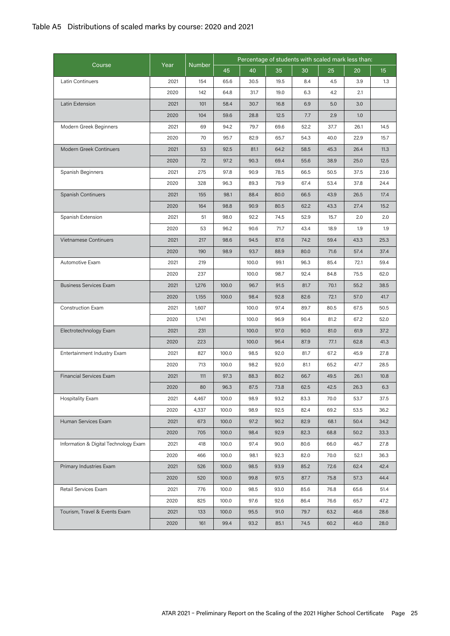|                                       |      |               | Percentage of students with scaled mark less than: |       |      |      |      |      |      |  |
|---------------------------------------|------|---------------|----------------------------------------------------|-------|------|------|------|------|------|--|
| Course                                | Year | <b>Number</b> | 45                                                 | 40    | 35   | 30   | 25   | 20   | 15   |  |
| Latin Continuers                      | 2021 | 154           | 65.6                                               | 30.5  | 19.5 | 8.4  | 4.5  | 3.9  | 1.3  |  |
|                                       | 2020 | 142           | 64.8                                               | 31.7  | 19.0 | 6.3  | 4.2  | 2.1  |      |  |
| Latin Extension                       | 2021 | 101           | 58.4                                               | 30.7  | 16.8 | 6.9  | 5.0  | 3.0  |      |  |
|                                       | 2020 | 104           | 59.6                                               | 28.8  | 12.5 | 7.7  | 2.9  | 1.0  |      |  |
| Modern Greek Beginners                | 2021 | 69            | 94.2                                               | 79.7  | 69.6 | 52.2 | 37.7 | 26.1 | 14.5 |  |
|                                       | 2020 | 70            | 95.7                                               | 82.9  | 65.7 | 54.3 | 40.0 | 22.9 | 15.7 |  |
| Modern Greek Continuers               | 2021 | 53            | 92.5                                               | 81.1  | 64.2 | 58.5 | 45.3 | 26.4 | 11.3 |  |
|                                       | 2020 | 72            | 97.2                                               | 90.3  | 69.4 | 55.6 | 38.9 | 25.0 | 12.5 |  |
| Spanish Beginners                     | 2021 | 275           | 97.8                                               | 90.9  | 78.5 | 66.5 | 50.5 | 37.5 | 23.6 |  |
|                                       | 2020 | 328           | 96.3                                               | 89.3  | 79.9 | 67.4 | 53.4 | 37.8 | 24.4 |  |
| Spanish Continuers                    | 2021 | 155           | 98.1                                               | 88.4  | 80.0 | 66.5 | 43.9 | 26.5 | 17.4 |  |
|                                       | 2020 | 164           | 98.8                                               | 90.9  | 80.5 | 62.2 | 43.3 | 27.4 | 15.2 |  |
| Spanish Extension                     | 2021 | 51            | 98.0                                               | 92.2  | 74.5 | 52.9 | 15.7 | 2.0  | 2.0  |  |
|                                       | 2020 | 53            | 96.2                                               | 90.6  | 71.7 | 43.4 | 18.9 | 1.9  | 1.9  |  |
| <b>Vietnamese Continuers</b>          | 2021 | 217           | 98.6                                               | 94.5  | 87.6 | 74.2 | 59.4 | 43.3 | 25.3 |  |
|                                       | 2020 | 190           | 98.9                                               | 93.7  | 88.9 | 80.0 | 71.6 | 57.4 | 37.4 |  |
| Automotive Exam                       | 2021 | 219           |                                                    | 100.0 | 99.1 | 96.3 | 85.4 | 72.1 | 59.4 |  |
|                                       | 2020 | 237           |                                                    | 100.0 | 98.7 | 92.4 | 84.8 | 75.5 | 62.0 |  |
| <b>Business Services Exam</b>         | 2021 | 1,276         | 100.0                                              | 96.7  | 91.5 | 81.7 | 70.1 | 55.2 | 38.5 |  |
|                                       | 2020 | 1,155         | 100.0                                              | 98.4  | 92.8 | 82.6 | 72.1 | 57.0 | 41.7 |  |
| Construction Exam                     | 2021 | 1,607         |                                                    | 100.0 | 97.4 | 89.7 | 80.5 | 67.5 | 50.5 |  |
|                                       | 2020 | 1,741         |                                                    | 100.0 | 96.9 | 90.4 | 81.2 | 67.2 | 52.0 |  |
| Electrotechnology Exam                | 2021 | 231           |                                                    | 100.0 | 97.0 | 90.0 | 81.0 | 61.9 | 37.2 |  |
|                                       | 2020 | 223           |                                                    | 100.0 | 96.4 | 87.9 | 77.1 | 62.8 | 41.3 |  |
| Entertainment Industry Exam           | 2021 | 827           | 100.0                                              | 98.5  | 92.0 | 81.7 | 67.2 | 45.9 | 27.8 |  |
|                                       | 2020 | 713           | 100.0                                              | 98.2  | 92.0 | 81.1 | 65.2 | 47.7 | 28.5 |  |
| <b>Financial Services Exam</b>        | 2021 | 111           | 97.3                                               | 88.3  | 80.2 | 66.7 | 49.5 | 26.1 | 10.8 |  |
|                                       | 2020 | 80            | 96.3                                               | 87.5  | 73.8 | 62.5 | 42.5 | 26.3 | 6.3  |  |
| <b>Hospitality Exam</b>               | 2021 | 4,467         | 100.0                                              | 98.9  | 93.2 | 83.3 | 70.0 | 53.7 | 37.5 |  |
|                                       | 2020 | 4,337         | 100.0                                              | 98.9  | 92.5 | 82.4 | 69.2 | 53.5 | 36.2 |  |
| Human Services Exam                   | 2021 | 673           | 100.0                                              | 97.2  | 90.2 | 82.9 | 68.1 | 50.4 | 34.2 |  |
|                                       | 2020 | 705           | 100.0                                              | 98.4  | 92.9 | 82.3 | 68.8 | 50.2 | 33.3 |  |
| Information & Digital Technology Exam | 2021 | 418           | 100.0                                              | 97.4  | 90.0 | 80.6 | 66.0 | 46.7 | 27.8 |  |
|                                       | 2020 | 466           | 100.0                                              | 98.1  | 92.3 | 82.0 | 70.0 | 52.1 | 36.3 |  |
| Primary Industries Exam               | 2021 | 526           | 100.0                                              | 98.5  | 93.9 | 85.2 | 72.6 | 62.4 | 42.4 |  |
|                                       | 2020 | 520           | 100.0                                              | 99.8  | 97.5 | 87.7 | 75.8 | 57.3 | 44.4 |  |
| Retail Services Exam                  | 2021 | 776           | 100.0                                              | 98.5  | 93.0 | 85.6 | 76.8 | 65.6 | 51.4 |  |
|                                       | 2020 | 825           | 100.0                                              | 97.6  | 92.6 | 86.4 | 76.6 | 65.7 | 47.2 |  |
| Tourism, Travel & Events Exam         | 2021 | 133           | 100.0                                              | 95.5  | 91.0 | 79.7 | 63.2 | 46.6 | 28.6 |  |
|                                       | 2020 | 161           | 99.4                                               | 93.2  | 85.1 | 74.5 | 60.2 | 46.0 | 28.0 |  |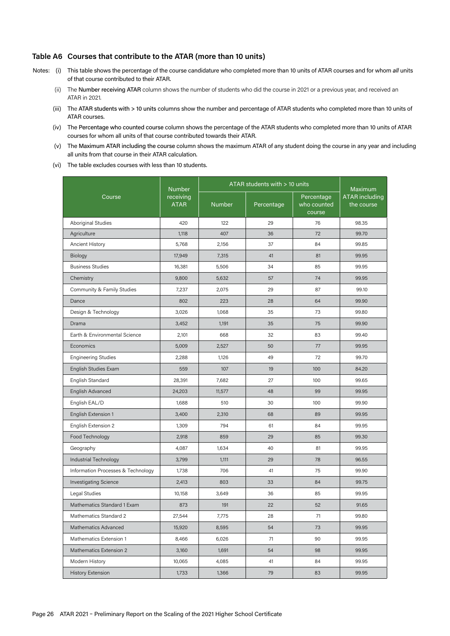#### **Table A6 Courses that contribute to the ATAR (more than 10 units)**

- Notes: (i) This table shows the percentage of the course candidature who completed more than 10 units of ATAR courses and for whom *all* units of that course contributed to their ATAR.
	- (ii) The Number receiving ATAR column shows the number of students who did the course in 2021 or a previous year, and received an ATAR in 2021.
	- (iii) The ATAR students with > 10 units columns show the number and percentage of ATAR students who completed more than 10 units of ATAR courses.
	- (iv) The Percentage who counted course column shows the percentage of the ATAR students who completed more than 10 units of ATAR courses for whom all units of that course contributed towards their ATAR.
	- (v) The Maximum ATAR including the course column shows the maximum ATAR of any student doing the course in any year and including all units from that course in their ATAR calculation.
	- (vi) The table excludes courses with less than 10 students.

|                                    | <b>Number</b>            | ATAR students with $> 10$ units | Maximum    |                                     |                              |
|------------------------------------|--------------------------|---------------------------------|------------|-------------------------------------|------------------------------|
| Course                             | receiving<br><b>ATAR</b> | <b>Number</b>                   | Percentage | Percentage<br>who counted<br>course | ATAR including<br>the course |
| <b>Aboriginal Studies</b>          | 420                      | 122                             | 29         | 76                                  | 98.35                        |
| Agriculture                        | 1,118                    | 407                             | 36         | 72                                  | 99.70                        |
| Ancient History                    | 5,768                    | 2,156                           | 37         | 84                                  | 99.85                        |
| Biology                            | 17,949                   | 7,315                           | 41         | 81                                  | 99.95                        |
| <b>Business Studies</b>            | 16,381                   | 5,506                           | 34         | 85                                  | 99.95                        |
| Chemistry                          | 9,800                    | 5,632                           | 57         | 74                                  | 99.95                        |
| Community & Family Studies         | 7,237                    | 2,075                           | 29         | 87                                  | 99.10                        |
| Dance                              | 802                      | 223                             | 28         | 64                                  | 99.90                        |
| Design & Technology                | 3,026                    | 1,068                           | 35         | 73                                  | 99.80                        |
| Drama                              | 3,452                    | 1,191                           | 35         | 75                                  | 99.90                        |
| Earth & Environmental Science      | 2,101                    | 668                             | 32         | 83                                  | 99.40                        |
| Economics                          | 5,009                    | 2,527                           | 50         | 77                                  | 99.95                        |
| <b>Engineering Studies</b>         | 2,288                    | 1,126                           | 49         | 72                                  | 99.70                        |
| English Studies Exam               | 559                      | 107                             | 19         | 100                                 | 84.20                        |
| English Standard                   | 28,391                   | 7,682                           | 27         | 100                                 | 99.65                        |
| English Advanced                   | 24,203                   | 11,577                          | 48         | 99                                  | 99.95                        |
| English EAL/D                      | 1,688                    | 510                             | 30         | 100                                 | 99.90                        |
| English Extension 1                | 3,400                    | 2,310                           | 68         | 89                                  | 99.95                        |
| English Extension 2                | 1,309                    | 794                             | 61         | 84                                  | 99.95                        |
| Food Technology                    | 2,918                    | 859                             | 29         | 85                                  | 99.30                        |
| Geography                          | 4,087                    | 1,634                           | 40         | 81                                  | 99.95                        |
| Industrial Technology              | 3,799                    | 1,111                           | 29         | 78                                  | 96.55                        |
| Information Processes & Technology | 1,738                    | 706                             | 41         | 75                                  | 99.90                        |
| <b>Investigating Science</b>       | 2,413                    | 803                             | 33         | 84                                  | 99.75                        |
| Legal Studies                      | 10,158                   | 3,649                           | 36         | 85                                  | 99.95                        |
| Mathematics Standard 1 Exam        | 873                      | 191                             | 22         | 52                                  | 91.65                        |
| Mathematics Standard 2             | 27,544                   | 7,775                           | 28         | 71                                  | 99.80                        |
| Mathematics Advanced               | 15,920                   | 8,595                           | 54         | 73                                  | 99.95                        |
| Mathematics Extension 1            | 8,466                    | 6,026                           | 71         | 90                                  | 99.95                        |
| Mathematics Extension 2            | 3,160                    | 1,691                           | 54         | 98                                  | 99.95                        |
| Modern History                     | 10,065                   | 4,085                           | 41         | 84                                  | 99.95                        |
| <b>History Extension</b>           | 1,733                    | 1,366                           | 79         | 83                                  | 99.95                        |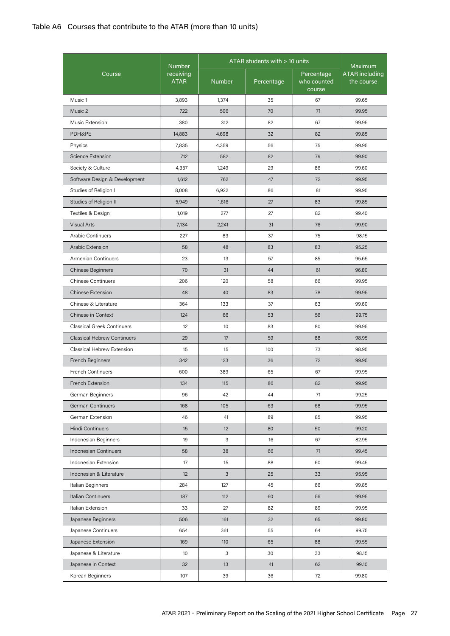### Table A6 Courses that contribute to the ATAR (more than 10 units)

|                                    |                                           |                 | ATAR students with $> 10$ units |                                     |                                                       |
|------------------------------------|-------------------------------------------|-----------------|---------------------------------|-------------------------------------|-------------------------------------------------------|
| Course                             | <b>Number</b><br>receiving<br><b>ATAR</b> | <b>Number</b>   | Percentage                      | Percentage<br>who counted<br>course | <b>Maximum</b><br><b>ATAR</b> including<br>the course |
| Music 1                            | 3,893                                     | 1,374           | 35                              | 67                                  | 99.65                                                 |
| Music 2                            | 722                                       | 506             | 70                              | 71                                  | 99.95                                                 |
| Music Extension                    | 380                                       | 312             | 82                              | 67                                  | 99.95                                                 |
| PDH&PE                             | 14,883                                    | 4,698           | 32                              | 82                                  | 99.85                                                 |
| Physics                            | 7,835                                     | 4,359           | 56                              | 75                                  | 99.95                                                 |
| Science Extension                  | 712                                       | 582             | 82                              | 79                                  | 99,90                                                 |
| Society & Culture                  | 4,357                                     | 1,249           | 29                              | 86                                  | 99.60                                                 |
| Software Design & Development      | 1,612                                     | 762             | 47                              | 72                                  | 99.95                                                 |
| Studies of Religion I              | 8,008                                     | 6,922           | 86                              | 81                                  | 99.95                                                 |
| Studies of Religion II             | 5,949                                     | 1,616           | 27                              | 83                                  | 99.85                                                 |
| Textiles & Design                  | 1,019                                     | 277             | 27                              | 82                                  | 99.40                                                 |
| <b>Visual Arts</b>                 | 7,134                                     | 2,241           | 31                              | 76                                  | 99.90                                                 |
| <b>Arabic Continuers</b>           | 227                                       | 83              | 37                              | 75                                  | 98.15                                                 |
| Arabic Extension                   | 58                                        | 48              | 83                              | 83                                  | 95.25                                                 |
| <b>Armenian Continuers</b>         | 23                                        | 13              | 57                              | 85                                  | 95.65                                                 |
| <b>Chinese Beginners</b>           | 70                                        | 31              | 44                              | 61                                  | 96.80                                                 |
| <b>Chinese Continuers</b>          | 206                                       | 120             | 58                              | 66                                  | 99.95                                                 |
| <b>Chinese Extension</b>           | 48                                        | 40              | 83                              | 78                                  | 99.95                                                 |
| Chinese & Literature               | 364                                       | 133             | 37                              | 63                                  | 99.60                                                 |
| Chinese in Context                 | 124                                       | 66              | 53                              | 56                                  | 99.75                                                 |
| <b>Classical Greek Continuers</b>  | 12                                        | 10              | 83                              | 80                                  | 99.95                                                 |
| <b>Classical Hebrew Continuers</b> | 29                                        | 17              | 59                              | 88                                  | 98.95                                                 |
| Classical Hebrew Extension         | 15                                        | 15              | 100                             | 73                                  | 98.95                                                 |
| <b>French Beginners</b>            | 342                                       | 123             | 36                              | 72                                  | 99.95                                                 |
| <b>French Continuers</b>           | 600                                       | 389             | 65                              | 67                                  | 99.95                                                 |
| French Extension                   | 134                                       | 115             | 86                              | 82                                  | 99.95                                                 |
| German Beginners                   | 96                                        | 42              | 44                              | 71                                  | 99.25                                                 |
| German Continuers                  | 168                                       | 105             | 63                              | 68                                  | 99.95                                                 |
| German Extension                   | 46                                        | 41              | 89                              | 85                                  | 99.95                                                 |
| Hindi Continuers                   | 15                                        | 12 <sup>2</sup> | 80                              | 50                                  | 99.20                                                 |
| Indonesian Beginners               | 19                                        | 3               | 16                              | 67                                  | 82.95                                                 |
| Indonesian Continuers              | 58                                        | 38              | 66                              | 71                                  | 99.45                                                 |
| Indonesian Extension               | 17                                        | 15              | 88                              | 60                                  | 99.45                                                 |
| Indonesian & Literature            | 12                                        | 3               | 25                              | 33                                  | 95.95                                                 |
| Italian Beginners                  | 284                                       | 127             | 45                              | 66                                  | 99.85                                                 |
| Italian Continuers                 | 187                                       | 112             | 60                              | 56                                  | 99.95                                                 |
| Italian Extension                  | 33                                        | 27              | 82                              | 89                                  | 99.95                                                 |
| Japanese Beginners                 | 506                                       | 161             | 32                              | 65                                  | 99.80                                                 |
| Japanese Continuers                | 654                                       | 361             | 55                              | 64                                  | 99.75                                                 |
| Japanese Extension                 | 169                                       | 110             | 65                              | 88                                  | 99.55                                                 |
| Japanese & Literature              | 10 <sup>°</sup>                           | 3               | 30                              | 33                                  | 98.15                                                 |
| Japanese in Context                | 32                                        | 13              | 41                              | 62                                  | 99.10                                                 |
| Korean Beginners                   | 107                                       | 39              | 36                              | 72                                  | 99.80                                                 |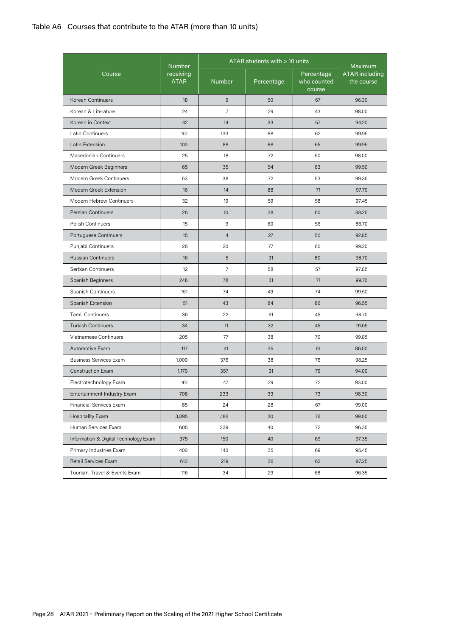### Table A6 Courses that contribute to the ATAR (more than 10 units)

|                                       | <b>Number</b>            | $ATAR$ students with $> 10$ units | Maximum    |                                     |                                     |
|---------------------------------------|--------------------------|-----------------------------------|------------|-------------------------------------|-------------------------------------|
| Course                                | receiving<br><b>ATAR</b> | <b>Number</b>                     | Percentage | Percentage<br>who counted<br>course | <b>ATAR</b> including<br>the course |
| Korean Continuers                     | 18                       | 9                                 | 50         | 67                                  | 96.30                               |
| Korean & Literature                   | 24                       | $\overline{7}$                    | 29         | 43                                  | 98.00                               |
| Korean in Context                     | 42                       | 14                                | 33         | 57                                  | 94.20                               |
| <b>Latin Continuers</b>               | 151                      | 133                               | 88         | 62                                  | 99.95                               |
| Latin Extension                       | 100                      | 88                                | 88         | 65                                  | 99.95                               |
| Macedonian Continuers                 | 25                       | 18                                | 72         | 50                                  | 98.00                               |
| Modern Greek Beginners                | 65                       | 35                                | 54         | 63                                  | 99.50                               |
| Modern Greek Continuers               | 53                       | 38                                | 72         | 53                                  | 99.35                               |
| Modern Greek Extension                | 16                       | 14                                | 88         | 71                                  | 97.70                               |
| Modern Hebrew Continuers              | 32                       | 19                                | 59         | 58                                  | 97.45                               |
| <b>Persian Continuers</b>             | 26                       | 10 <sup>°</sup>                   | 38         | 60                                  | 88.25                               |
| <b>Polish Continuers</b>              | 15                       | 9                                 | 60         | 56                                  | 86.70                               |
| Portuguese Continuers                 | 15                       | $\overline{4}$                    | 27         | 50                                  | 92,85                               |
| Punjabi Continuers                    | 26                       | 20                                | 77         | 60                                  | 99.20                               |
| <b>Russian Continuers</b>             | 16                       | 5                                 | 31         | 80                                  | 98.70                               |
| Serbian Continuers                    | 12                       | $\overline{7}$                    | 58         | 57                                  | 97.85                               |
| Spanish Beginners                     | 248                      | 78                                | 31         | 71                                  | 99.70                               |
| Spanish Continuers                    | 151                      | 74                                | 49         | 74                                  | 99.50                               |
| Spanish Extension                     | 51                       | 43                                | 84         | 86                                  | 96.55                               |
| <b>Tamil Continuers</b>               | 36                       | 22                                | 61         | 45                                  | 98.70                               |
| <b>Turkish Continuers</b>             | 34                       | 11                                | 32         | 45                                  | 91.65                               |
| Vietnamese Continuers                 | 205                      | 77                                | 38         | 70                                  | 99.85                               |
| Automotive Exam                       | 117                      | 41                                | 35         | 61                                  | 86.00                               |
| <b>Business Services Exam</b>         | 1,000                    | 376                               | 38         | 76                                  | 98.25                               |
| <b>Construction Exam</b>              | 1,170                    | 357                               | 31         | 79                                  | 94.00                               |
| Electrotechnology Exam                | 161                      | 47                                | 29         | 72                                  | 93.00                               |
| Entertainment Industry Exam           | 708                      | 233                               | 33         | 73                                  | 98.30                               |
| Financial Services Exam               | 85                       | 24                                | 28         | 67                                  | 99.00                               |
| <b>Hospitality Exam</b>               | 3,895                    | 1,186                             | 30         | 76                                  | 99.00                               |
| Human Services Exam                   | 605                      | 239                               | 40         | 72                                  | 96.35                               |
| Information & Digital Technology Exam | 375                      | 150                               | 40         | 69                                  | 97.35                               |
| Primary Industries Exam               | 400                      | 140                               | 35         | 69                                  | 95.45                               |
| Retail Services Exam                  | 613                      | 219                               | 36         | 62                                  | 97.25                               |
| Tourism, Travel & Events Exam         | 116                      | 34                                | 29         | 68                                  | 96.35                               |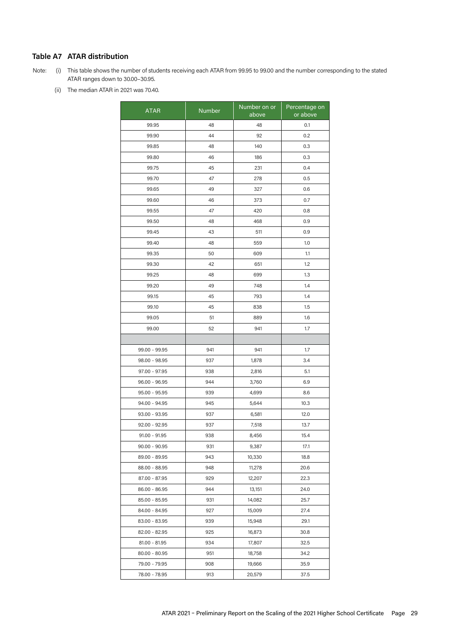### **Table A7 ATAR distribution**

Note: (i) This table shows the number of students receiving each ATAR from 99.95 to 99.00 and the number corresponding to the stated ATAR ranges down to 30.00–30.95.

(ii) The median ATAR in 2021 was 70.40.

| <b>ATAR</b>     | Number | Number on or<br>above | Percentage on<br>or above |
|-----------------|--------|-----------------------|---------------------------|
| 99.95           | 48     | 48                    | 0.1                       |
| 99.90           | 44     | 92                    | 0.2                       |
| 99.85           | 48     | 140                   | 0.3                       |
| 99.80           | 46     | 186                   | 0.3                       |
| 99.75           | 45     | 231                   | 0.4                       |
| 99.70           | 47     | 278                   | 0.5                       |
| 99.65           | 49     | 327                   | 0.6                       |
| 99.60           | 46     | 373                   | 0.7                       |
| 99.55           | 47     | 420                   | 0.8                       |
| 99.50           | 48     | 468                   | 0.9                       |
| 99.45           | 43     | 511                   | 0.9                       |
| 99.40           | 48     | 559                   | 1.0                       |
| 99.35           | 50     | 609                   | 1.1                       |
| 99.30           | 42     | 651                   | 1.2                       |
| 99.25           | 48     | 699                   | 1.3                       |
| 99.20           | 49     | 748                   | 1.4                       |
| 99.15           | 45     | 793                   | 1.4                       |
| 99.10           | 45     | 838                   | 1.5                       |
| 99.05           | 51     | 889                   | 1.6                       |
| 99.00           | 52     | 941                   | 1.7                       |
|                 |        |                       |                           |
| 99.00 - 99.95   | 941    | 941                   | 1.7                       |
| 98.00 - 98.95   | 937    | 1,878                 | 3.4                       |
| 97.00 - 97.95   | 938    | 2,816                 | 5.1                       |
| $96.00 - 96.95$ | 944    | 3,760                 | 6.9                       |
| 95.00 - 95.95   | 939    | 4,699                 | 8.6                       |
| 94.00 - 94.95   | 945    | 5,644                 | 10.3                      |
| $93.00 - 93.95$ | 937    | 6,581                 | 12.0                      |
| $92.00 - 92.95$ | 937    | 7,518                 | 13.7                      |
| 91.00 - 91.95   | 938    | 8,456                 | 15.4                      |
| $90.00 - 90.95$ | 931    | 9,387                 | 17.1                      |
| 89.00 - 89.95   | 943    | 10,330                | 18.8                      |
| 88.00 - 88.95   | 948    | 11,278                | 20.6                      |
| 87.00 - 87.95   | 929    | 12,207                | 22.3                      |
| 86.00 - 86.95   | 944    | 13,151                | 24.0                      |
| 85.00 - 85.95   | 931    | 14,082                | 25.7                      |
| 84.00 - 84.95   | 927    | 15,009                | 27.4                      |
| 83.00 - 83.95   | 939    | 15,948                | 29.1                      |
| 82.00 - 82.95   | 925    | 16,873                | 30.8                      |
| 81.00 - 81.95   | 934    | 17,807                | 32.5                      |
| 80.00 - 80.95   | 951    | 18,758                | 34.2                      |
| 79.00 - 79.95   | 908    | 19,666                | 35.9                      |
| 78.00 - 78.95   | 913    | 20,579                | 37.5                      |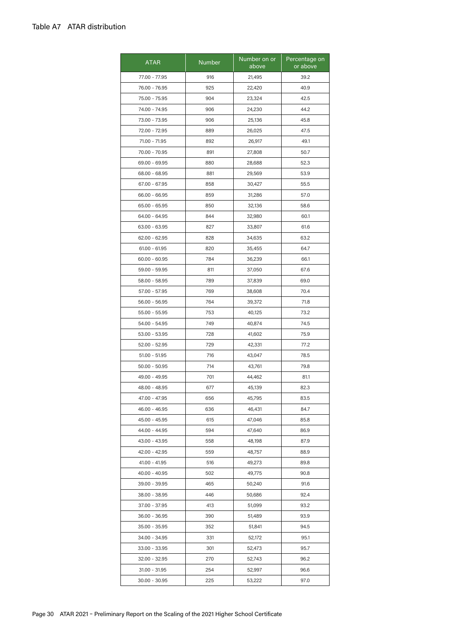| <b>ATAR</b>     | <b>Number</b> | Number on or<br>above | Percentage on<br>or above |
|-----------------|---------------|-----------------------|---------------------------|
| 77.00 - 77.95   | 916           | 21,495                | 39.2                      |
| 76.00 - 76.95   | 925           | 22,420                | 40.9                      |
| 75.00 - 75.95   | 904           | 23,324                | 42.5                      |
| 74.00 - 74.95   | 906           | 24,230                | 44.2                      |
| 73.00 - 73.95   | 906           | 25,136                | 45.8                      |
| 72.00 - 72.95   | 889           | 26,025                | 47.5                      |
| 71.00 - 71.95   | 892           | 26,917                | 49.1                      |
| 70.00 - 70.95   | 891           | 27,808                | 50.7                      |
| 69.00 - 69.95   | 880           | 28,688                | 52.3                      |
| 68.00 - 68.95   | 881           | 29,569                | 53.9                      |
| 67.00 - 67.95   | 858           | 30,427                | 55.5                      |
| 66.00 - 66.95   | 859           | 31,286                | 57.0                      |
| 65.00 - 65.95   | 850           | 32,136                | 58.6                      |
| 64.00 - 64.95   | 844           | 32,980                | 60.1                      |
| 63.00 - 63.95   | 827           | 33,807                | 61.6                      |
| 62.00 - 62.95   | 828           | 34,635                | 63.2                      |
| $61.00 - 61.95$ | 820           | 35,455                | 64.7                      |
| $60.00 - 60.95$ | 784           | 36,239                | 66.1                      |
| 59.00 - 59.95   | 811           | 37,050                | 67.6                      |
| 58.00 - 58.95   | 789           | 37,839                | 69.0                      |
| 57.00 - 57.95   | 769           | 38,608                | 70.4                      |
| 56.00 - 56.95   | 764           | 39,372                | 71.8                      |
| 55.00 - 55.95   | 753           | 40,125                | 73.2                      |
| 54.00 - 54.95   | 749           | 40,874                | 74.5                      |
| 53.00 - 53.95   | 728           | 41,602                | 75.9                      |
| 52.00 - 52.95   | 729           | 42,331                | 77.2                      |
| $51.00 - 51.95$ | 716           | 43,047                | 78.5                      |
| 50.00 - 50.95   | 714           | 43,761                | 79.8                      |
| 49.00 - 49.95   | 701           | 44,462                | 81.1                      |
| 48.00 - 48.95   | 677           | 45,139                | 82.3                      |
| 47.00 - 47.95   | 656           | 45,795                | 83.5                      |
| 46.00 - 46.95   | 636           | 46,431                | 84.7                      |
| 45.00 - 45.95   | 615           | 47,046                | 85.8                      |
| 44.00 - 44.95   | 594           | 47,640                | 86.9                      |
| 43.00 - 43.95   | 558           | 48,198                | 87.9                      |
| 42.00 - 42.95   | 559           | 48,757                | 88.9                      |
| 41.00 - 41.95   | 516           | 49,273                | 89.8                      |
| $40.00 - 40.95$ | 502           | 49,775                | 90.8                      |
| 39.00 - 39.95   | 465           | 50,240                | 91.6                      |
| 38.00 - 38.95   | 446           | 50,686                | 92.4                      |
| 37.00 - 37.95   | 413           | 51,099                | 93.2                      |
| 36.00 - 36.95   | 390           | 51,489                | 93.9                      |
| 35.00 - 35.95   | 352           | 51,841                | 94.5                      |
| 34.00 - 34.95   | 331           | 52,172                | 95.1                      |
| 33.00 - 33.95   | 301           | 52,473                | 95.7                      |
| 32.00 - 32.95   | 270           | 52,743                | 96.2                      |
| 31.00 - 31.95   | 254           | 52,997                | 96.6                      |
| 30.00 - 30.95   | 225           | 53,222                | 97.0                      |